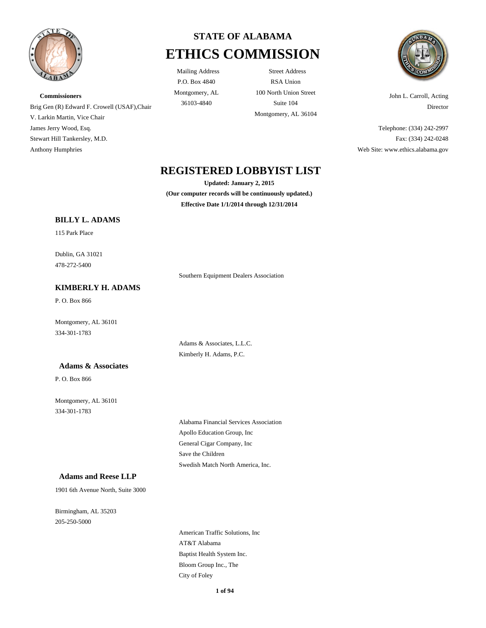

**Commissioners** Brig Gen (R) Edward F. Crowell (USAF),Chair V. Larkin Martin, Vice Chair James Jerry Wood, Esq. Stewart Hill Tankersley, M.D. Anthony Humphries



P.O. Box 4840 Montgomery, AL

Mailing Address Street Address RSA Union 100 North Union Street 36103-4840 Suite 104 Montgomery, AL 36104



John L. Carroll, Acting Director

Telephone: (334) 242-2997 Fax: (334) 242-0248 Web Site: www.ethics.alabama.gov

# **REGISTERED LOBBYIST LIST**

**Updated: January 2, 2015 (Our computer records will be continuously updated.) Effective Date 1/1/2014 through 12/31/2014**

Southern Equipment Dealers Association

### **BILLY L. ADAMS**

115 Park Place

478-272-5400 Dublin, GA 31021

# **KIMBERLY H. ADAMS**

P. O. Box 866

334-301-1783 Montgomery, AL 36101

#### **Adams & Associates**

P. O. Box 866

334-301-1783 Montgomery, AL 36101 Adams & Associates, L.L.C. Kimberly H. Adams, P.C.

Apollo Education Group, Inc Alabama Financial Services Association General Cigar Company, Inc Swedish Match North America, Inc. Save the Children

### **Adams and Reese LLP**

1901 6th Avenue North, Suite 3000

205-250-5000 Birmingham, AL 35203

> City of Foley AT&T Alabama American Traffic Solutions, Inc Bloom Group Inc., The Baptist Health System Inc.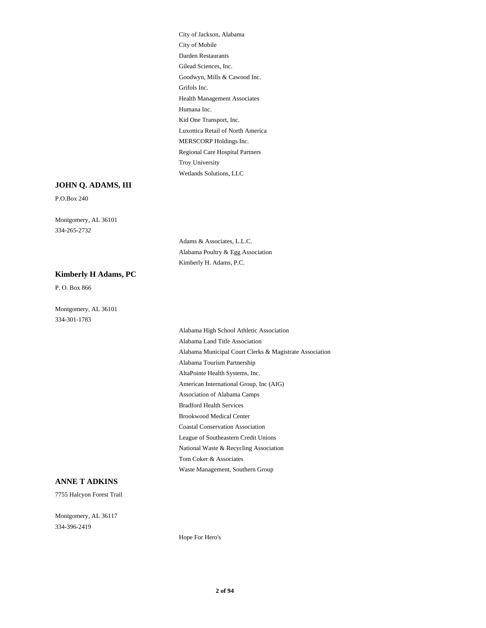Goodwyn, Mills & Cawood Inc. Grifols Inc. Health Management Associates Gilead Sciences, Inc. City of Jackson, Alabama City of Mobile Darden Restaurants Regional Care Hospital Partners Troy University Wetlands Solutions, LLC MERSCORP Holdings Inc. Humana Inc. Kid One Transport, Inc. Luxottica Retail of North America

### **JOHN Q. ADAMS, III**

P.O.Box 240

334-265-2732 Montgomery, AL 36101

> Adams & Associates, L.L.C. Alabama Poultry & Egg Association Kimberly H. Adams, P.C.

### **Kimberly H Adams, PC**

P. O. Box 866

334-301-1783 Montgomery, AL 36101

> AltaPointe Health Systems, Inc. American International Group, Inc (AIG) Association of Alabama Camps Alabama Tourism Partnership Alabama High School Athletic Association Alabama Land Title Association Alabama Municipal Court Clerks & Magistrate Association National Waste & Recycling Association Tom Coker & Associates Waste Management, Southern Group League of Southeastern Credit Unions Bradford Health Services Brookwood Medical Center Coastal Conservation Association

#### **ANNE T ADKINS**

7755 Halcyon Forest Trail

334-396-2419 Montgomery, AL 36117

Hope For Hero's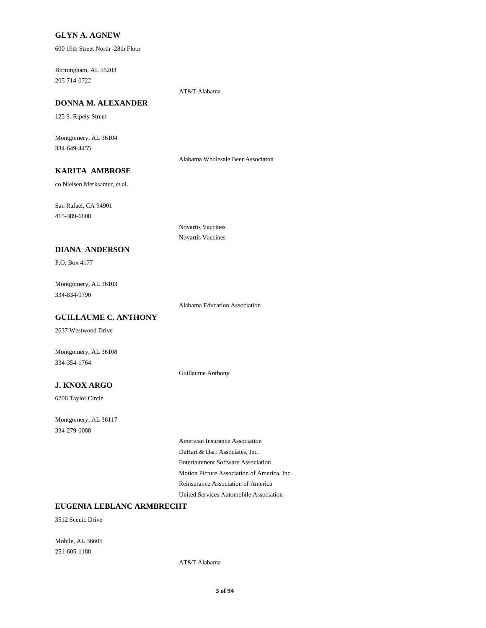### **GLYN A. AGNEW**

600 19th Street North -28th Floor

205-714-0722 Birmingham, AL 35203

AT&T Alabama

Novartis Vaccines Novartis Vaccines

# **DONNA M. ALEXANDER**

125 S. Ripely Street

334-649-4455 Montgomery, AL 36104

Alabama Wholesale Beer Associaton

# **KARITA AMBROSE**

co Nielsen Merksamer, et al.

415-389-6800 San Rafael, CA 94901

**DIANA ANDERSON**

P.O. Box 4177

334-834-9790 Montgomery, AL 36103

Alabama Education Association

# **GUILLAUME C. ANTHONY**

2637 Westwood Drive

Montgomery, AL 36108 334-354-1764

Guillaume Anthony

# **J. KNOX ARGO**

6706 Taylor Circle

334-279-0088 Montgomery, AL 36117

> Entertainment Software Association DeHart & Darr Associates, Inc. American Insurance Association United Services Automobile Association Reinsurance Association of America Motion Picture Association of America, Inc.

# **EUGENIA LEBLANC ARMBRECHT**

3512 Scenic Drive

251-605-1188 Mobile, AL 36605

AT&T Alabama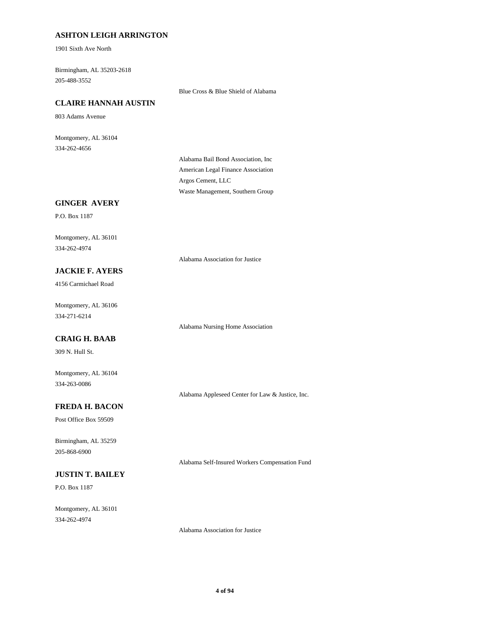## **ASHTON LEIGH ARRINGTON**

1901 Sixth Ave North

205-488-3552 Birmingham, AL 35203-2618

Blue Cross & Blue Shield of Alabama

# **CLAIRE HANNAH AUSTIN**

803 Adams Avenue

334-262-4656 Montgomery, AL 36104

> American Legal Finance Association Alabama Bail Bond Association, Inc Waste Management, Southern Group Argos Cement, LLC

## **GINGER AVERY**

P.O. Box 1187

334-262-4974 Montgomery, AL 36101

Alabama Association for Justice

Alabama Nursing Home Association

# **JACKIE F. AYERS**

4156 Carmichael Road

334-271-6214 Montgomery, AL 36106

### **CRAIG H. BAAB**

309 N. Hull St.

334-263-0086 Montgomery, AL 36104

Alabama Appleseed Center for Law & Justice, Inc.

Alabama Self-Insured Workers Compensation Fund

# **FREDA H. BACON**

Post Office Box 59509

205-868-6900 Birmingham, AL 35259

# **JUSTIN T. BAILEY**

P.O. Box 1187

334-262-4974 Montgomery, AL 36101

Alabama Association for Justice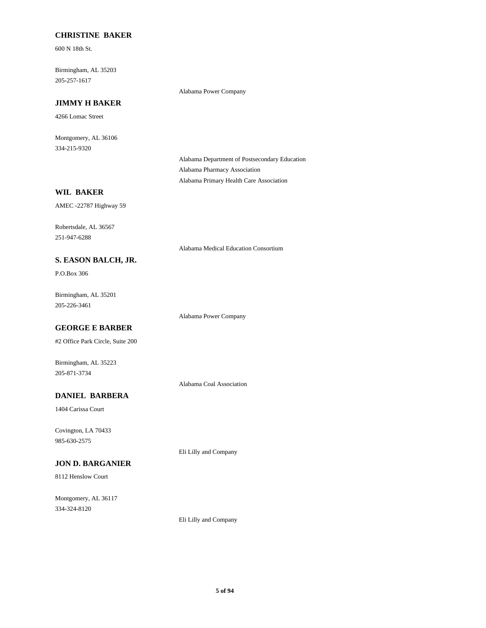## **CHRISTINE BAKER**

600 N 18th St.

205-257-1617 Birmingham, AL 35203

#### Alabama Power Company

# **JIMMY H BAKER**

4266 Lomac Street

334-215-9320 Montgomery, AL 36106

> Alabama Department of Postsecondary Education Alabama Pharmacy Association Alabama Primary Health Care Association

# **WIL BAKER**

AMEC -22787 Highway 59

251-947-6288 Robertsdale, AL 36567

Alabama Medical Education Consortium

## **S. EASON BALCH, JR.**

P.O.Box 306

205-226-3461 Birmingham, AL 35201

Alabama Power Company

# **GEORGE E BARBER**

#2 Office Park Circle, Suite 200

Birmingham, AL 35223 205-871-3734

Alabama Coal Association

# **DANIEL BARBERA**

1404 Carissa Court

985-630-2575 Covington, LA 70433

Eli Lilly and Company

# **JON D. BARGANIER**

8112 Henslow Court

334-324-8120 Montgomery, AL 36117

Eli Lilly and Company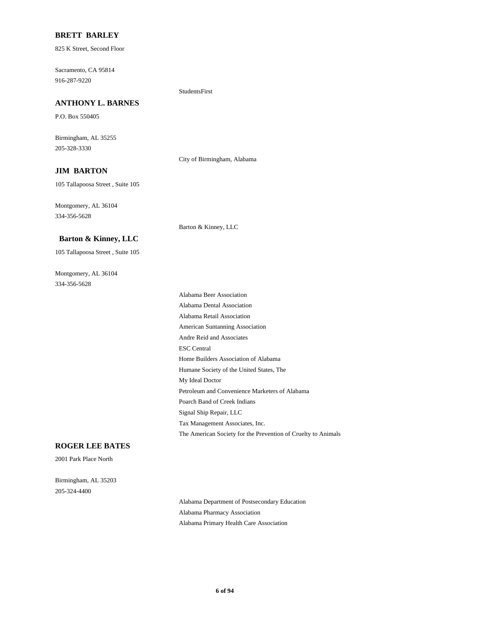#### **BRETT BARLEY**

825 K Street, Second Floor

916-287-9220 Sacramento, CA 95814

## **ANTHONY L. BARNES**

P.O. Box 550405

205-328-3330 Birmingham, AL 35255

City of Birmingham, Alabama

StudentsFirst

### **JIM BARTON**

105 Tallapoosa Street , Suite 105

334-356-5628 Montgomery, AL 36104

Barton & Kinney, LLC

#### **Barton & Kinney, LLC**

105 Tallapoosa Street , Suite 105

334-356-5628 Montgomery, AL 36104

> My Ideal Doctor Petroleum and Convenience Marketers of Alabama Home Builders Association of Alabama Humane Society of the United States, The Tax Management Associates, Inc. The American Society for the Prevention of Cruelty to Animals Poarch Band of Creek Indians Signal Ship Repair, LLC ESC Central Alabama Dental Association Alabama Beer Association Alabama Retail Association Andre Reid and Associates American Suntanning Association

#### **ROGER LEE BATES**

2001 Park Place North

205-324-4400 Birmingham, AL 35203

> Alabama Department of Postsecondary Education Alabama Pharmacy Association Alabama Primary Health Care Association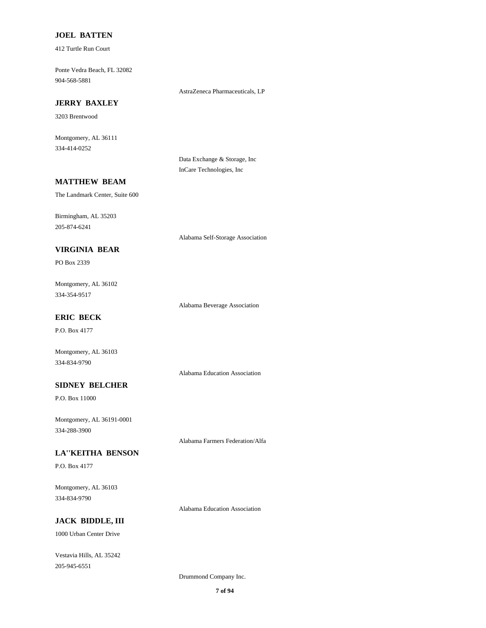### **JOEL BATTEN**

412 Turtle Run Court

904-568-5881 Ponte Vedra Beach, FL 32082

AstraZeneca Pharmaceuticals, LP

# **JERRY BAXLEY**

3203 Brentwood

334-414-0252 Montgomery, AL 36111

> Data Exchange & Storage, Inc InCare Technologies, Inc

### **MATTHEW BEAM**

The Landmark Center, Suite 600

205-874-6241 Birmingham, AL 35203

Alabama Self-Storage Association

# **VIRGINIA BEAR**

PO Box 2339

334-354-9517 Montgomery, AL 36102

Alabama Beverage Association

# **ERIC BECK**

P.O. Box 4177

Montgomery, AL 36103 334-834-9790

Alabama Education Association

### **SIDNEY BELCHER**

P.O. Box 11000

334-288-3900 Montgomery, AL 36191-0001

Alabama Farmers Federation/Alfa

### **LA''KEITHA BENSON**

P.O. Box 4177

334-834-9790 Montgomery, AL 36103

Alabama Education Association

## **JACK BIDDLE, III**

1000 Urban Center Drive

205-945-6551 Vestavia Hills, AL 35242

Drummond Company Inc.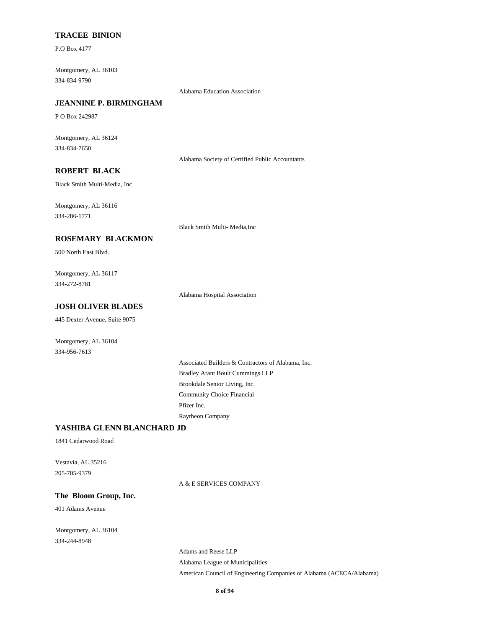#### **TRACEE BINION**

P.O Box 4177

334-834-9790 Montgomery, AL 36103

Alabama Education Association

# **JEANNINE P. BIRMINGHAM**

P O Box 242987

334-834-7650 Montgomery, AL 36124

Alabama Society of Certified Public Accountants

# **ROBERT BLACK**

Black Smith Multi-Media, Inc

334-286-1771 Montgomery, AL 36116

Black Smith Multi- Media,Inc

#### **ROSEMARY BLACKMON**

500 North East Blvd.

334-272-8781 Montgomery, AL 36117

Alabama Hospital Association

# **JOSH OLIVER BLADES**

445 Dexter Avenue, Suite 9075

Montgomery, AL 36104 334-956-7613

# Brookdale Senior Living, Inc. Bradley Arant Boult Cummings LLP Associated Builders & Contractors of Alabama, Inc. Raytheon Company Pfizer Inc. Community Choice Financial

## **YASHIBA GLENN BLANCHARD JD**

1841 Cedarwood Road

205-705-9379 Vestavia, AL 35216

#### A & E SERVICES COMPANY

### **The Bloom Group, Inc.**

401 Adams Avenue

334-244-8948 Montgomery, AL 36104

> Alabama League of Municipalities Adams and Reese LLP American Council of Engineering Companies of Alabama (ACECA/Alabama)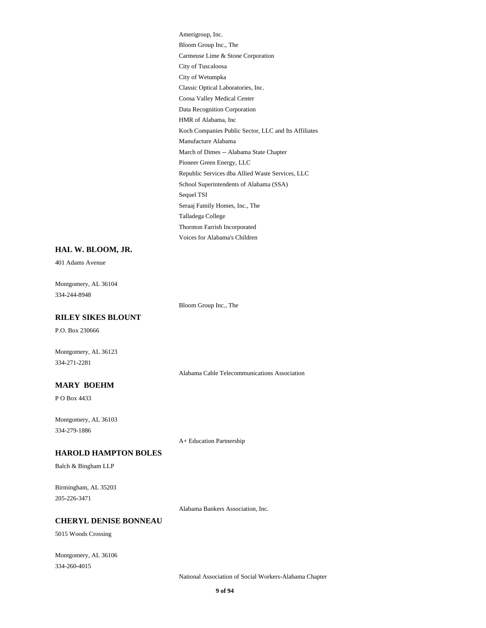Coosa Valley Medical Center Classic Optical Laboratories, Inc. Data Recognition Corporation Koch Companies Public Sector, LLC and Its Affiliates HMR of Alabama, Inc Bloom Group Inc., The Amerigroup, Inc. Carmeuse Lime & Stone Corporation City of Wetumpka City of Tuscaloosa Seraaj Family Homes, Inc., The Sequel TSI Talladega College Voices for Alabama's Children Thornton Farrish Incorporated March of Dimes -- Alabama State Chapter Manufacture Alabama Pioneer Green Energy, LLC School Superintendents of Alabama (SSA) Republic Services dba Allied Waste Services, LLC

#### **HAL W. BLOOM, JR.**

401 Adams Avenue

334-244-8948 Montgomery, AL 36104

Bloom Group Inc., The

### **RILEY SIKES BLOUNT**

P.O. Box 230666

Montgomery, AL 36123 334-271-2281

Alabama Cable Telecommunications Association

# **MARY BOEHM**

P O Box 4433

334-279-1886 Montgomery, AL 36103

A+ Education Partnership

#### **HAROLD HAMPTON BOLES**

Balch & Bingham LLP

205-226-3471 Birmingham, AL 35203

Alabama Bankers Association, Inc.

## **CHERYL DENISE BONNEAU**

5015 Woods Crossing

334-260-4015 Montgomery, AL 36106

National Association of Social Workers-Alabama Chapter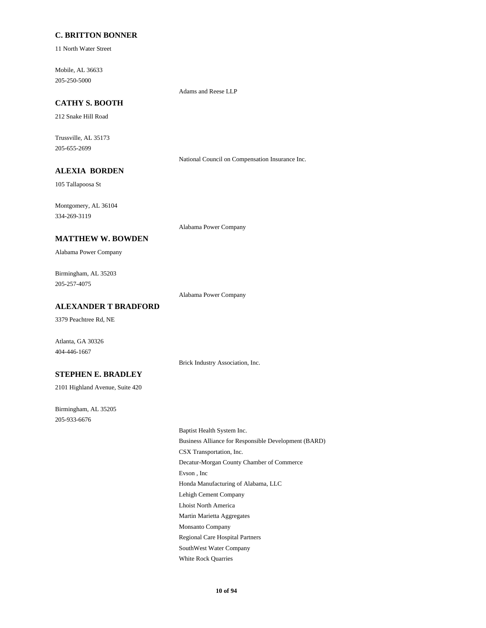### **C. BRITTON BONNER**

11 North Water Street

205-250-5000 Mobile, AL 36633

Adams and Reese LLP

# **CATHY S. BOOTH**

212 Snake Hill Road

205-655-2699 Trussville, AL 35173

National Council on Compensation Insurance Inc.

# **ALEXIA BORDEN**

105 Tallapoosa St

334-269-3119 Montgomery, AL 36104

Alabama Power Company

#### **MATTHEW W. BOWDEN**

Alabama Power Company

205-257-4075 Birmingham, AL 35203

Alabama Power Company

Brick Industry Association, Inc.

# **ALEXANDER T BRADFORD**

3379 Peachtree Rd, NE

Atlanta, GA 30326 404-446-1667

# **STEPHEN E. BRADLEY**

2101 Highland Avenue, Suite 420

205-933-6676 Birmingham, AL 35205

> Decatur-Morgan County Chamber of Commerce Evson , Inc Honda Manufacturing of Alabama, LLC Baptist Health System Inc. Business Alliance for Responsible Development (BARD) CSX Transportation, Inc. Lehigh Cement Company Regional Care Hospital Partners SouthWest Water Company White Rock Quarries Lhoist North America Martin Marietta Aggregates Monsanto Company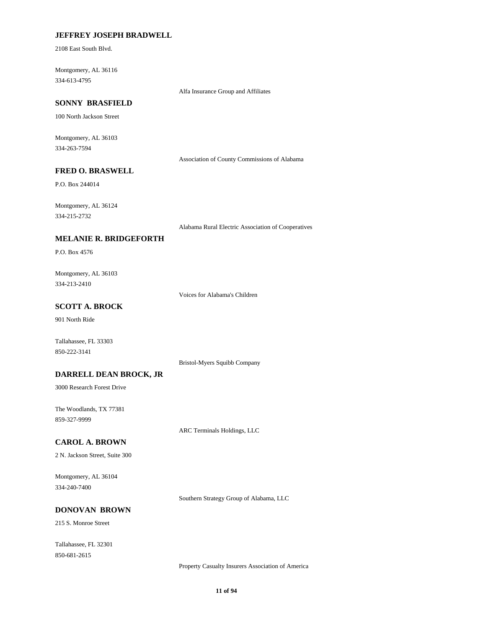## **JEFFREY JOSEPH BRADWELL**

2108 East South Blvd.

334-613-4795 Montgomery, AL 36116

Alfa Insurance Group and Affiliates

# **SONNY BRASFIELD**

100 North Jackson Street

334-263-7594 Montgomery, AL 36103

Association of County Commissions of Alabama

# **FRED O. BRASWELL**

P.O. Box 244014

334-215-2732 Montgomery, AL 36124

Alabama Rural Electric Association of Cooperatives

#### **MELANIE R. BRIDGEFORTH**

P.O. Box 4576

334-213-2410 Montgomery, AL 36103

Voices for Alabama's Children

# **SCOTT A. BROCK**

901 North Ride

Tallahassee, FL 33303 850-222-3141

Bristol-Myers Squibb Company

### **DARRELL DEAN BROCK, JR**

3000 Research Forest Drive

859-327-9999 The Woodlands, TX 77381

ARC Terminals Holdings, LLC

#### **CAROL A. BROWN**

2 N. Jackson Street, Suite 300

334-240-7400 Montgomery, AL 36104

Southern Strategy Group of Alabama, LLC

# **DONOVAN BROWN**

215 S. Monroe Street

850-681-2615 Tallahassee, FL 32301

Property Casualty Insurers Association of America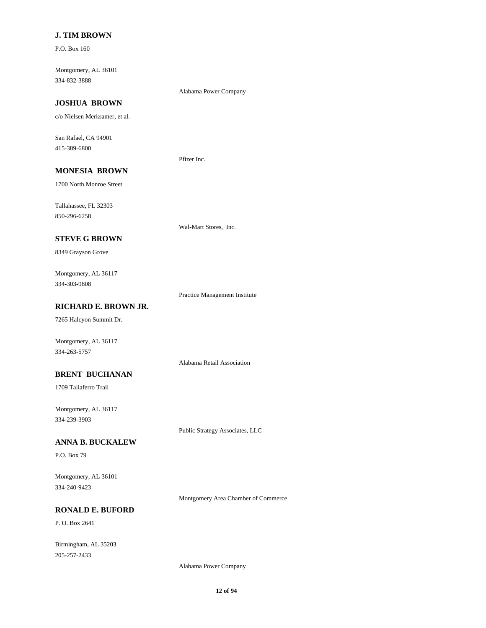## **J. TIM BROWN**

P.O. Box 160

334-832-3888 Montgomery, AL 36101

### **JOSHUA BROWN**

c/o Nielsen Merksamer, et al.

415-389-6800 San Rafael, CA 94901

Pfizer Inc.

# **MONESIA BROWN**

1700 North Monroe Street

850-296-6258 Tallahassee, FL 32303

# **STEVE G BROWN**

8349 Grayson Grove

334-303-9808 Montgomery, AL 36117

Practice Management Institute

Wal-Mart Stores, Inc.

Alabama Power Company

Alabama Retail Association

# **RICHARD E. BROWN JR.**

7265 Halcyon Summit Dr.

Montgomery, AL 36117 334-263-5757

#### **BRENT BUCHANAN**

1709 Taliaferro Trail

334-239-3903 Montgomery, AL 36117

Public Strategy Associates, LLC

#### **ANNA B. BUCKALEW**

P.O. Box 79

334-240-9423 Montgomery, AL 36101

Montgomery Area Chamber of Commerce

# **RONALD E. BUFORD**

P. O. Box 2641

205-257-2433 Birmingham, AL 35203

Alabama Power Company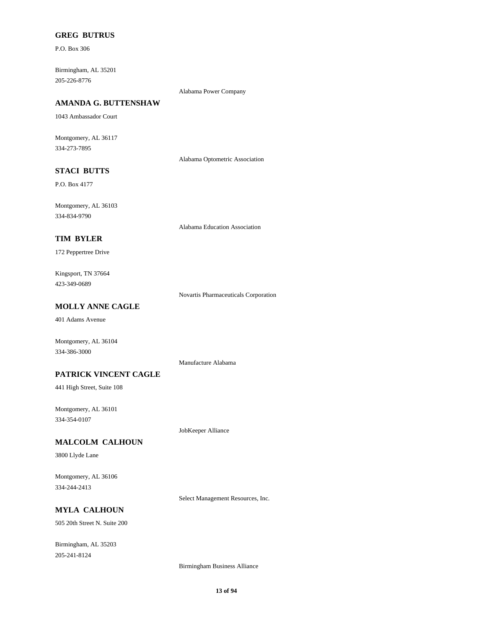### **GREG BUTRUS**

P.O. Box 306

205-226-8776 Birmingham, AL 35201

#### Alabama Power Company

# **AMANDA G. BUTTENSHAW**

1043 Ambassador Court

334-273-7895 Montgomery, AL 36117

Alabama Optometric Association

# **STACI BUTTS**

P.O. Box 4177

334-834-9790 Montgomery, AL 36103

Alabama Education Association

#### **TIM BYLER**

172 Peppertree Drive

423-349-0689 Kingsport, TN 37664

Novartis Pharmaceuticals Corporation

# **MOLLY ANNE CAGLE**

401 Adams Avenue

Montgomery, AL 36104 334-386-3000

Manufacture Alabama

#### **PATRICK VINCENT CAGLE**

441 High Street, Suite 108

334-354-0107 Montgomery, AL 36101

JobKeeper Alliance

#### **MALCOLM CALHOUN**

3800 Llyde Lane

334-244-2413 Montgomery, AL 36106

Select Management Resources, Inc.

# **MYLA CALHOUN**

505 20th Street N. Suite 200

205-241-8124 Birmingham, AL 35203

Birmingham Business Alliance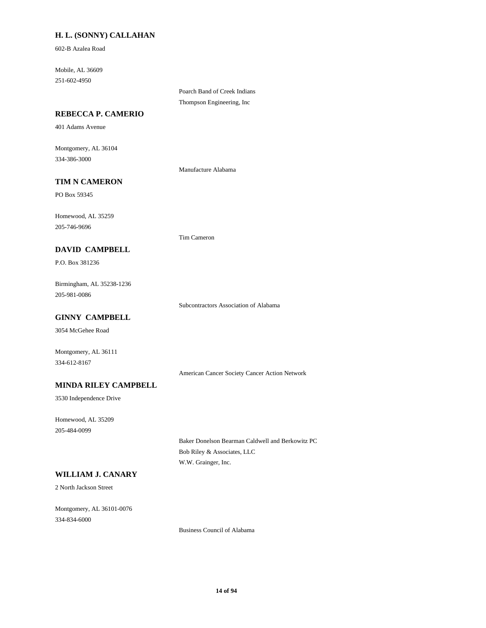# **H. L. (SONNY) CALLAHAN**

602-B Azalea Road

251-602-4950 Mobile, AL 36609

> Poarch Band of Creek Indians Thompson Engineering, Inc

### **REBECCA P. CAMERIO**

401 Adams Avenue

334-386-3000 Montgomery, AL 36104

Manufacture Alabama

Tim Cameron

## **TIM N CAMERON**

PO Box 59345

205-746-9696 Homewood, AL 35259

### **DAVID CAMPBELL**

P.O. Box 381236

205-981-0086 Birmingham, AL 35238-1236

Subcontractors Association of Alabama

# **GINNY CAMPBELL**

3054 McGehee Road

334-612-8167 Montgomery, AL 36111

American Cancer Society Cancer Action Network

# **MINDA RILEY CAMPBELL**

3530 Independence Drive

205-484-0099 Homewood, AL 35209

> Baker Donelson Bearman Caldwell and Berkowitz PC Bob Riley & Associates, LLC W.W. Grainger, Inc.

# **WILLIAM J. CANARY**

2 North Jackson Street

334-834-6000 Montgomery, AL 36101-0076

Business Council of Alabama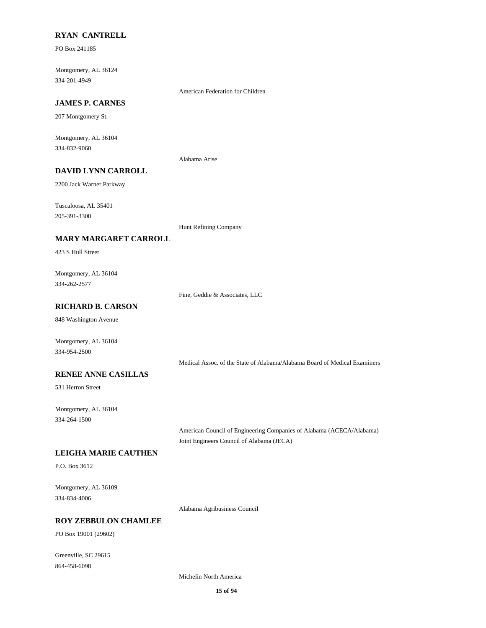### **RYAN CANTRELL**

PO Box 241185

334-201-4949 Montgomery, AL 36124

American Federation for Children

# **JAMES P. CARNES**

207 Montgomery St.

334-832-9060 Montgomery, AL 36104

Alabama Arise

# **DAVID LYNN CARROLL**

2200 Jack Warner Parkway

205-391-3300 Tuscaloosa, AL 35401

Hunt Refining Company

#### **MARY MARGARET CARROLL**

423 S Hull Street

334-262-2577 Montgomery, AL 36104

Fine, Geddie & Associates, LLC

# **RICHARD B. CARSON**

848 Washington Avenue

334-954-2500 Montgomery, AL 36104

Medical Assoc. of the State of Alabama/Alabama Board of Medical Examiners

### **RENEE ANNE CASILLAS**

531 Herron Street

334-264-1500 Montgomery, AL 36104

> American Council of Engineering Companies of Alabama (ACECA/Alabama) Joint Engineers Council of Alabama (JECA)

#### **LEIGHA MARIE CAUTHEN**

P.O. Box 3612

334-834-4006 Montgomery, AL 36109

Alabama Agribusiness Council

# **ROY ZEBBULON CHAMLEE**

PO Box 19001 (29602)

864-458-6098 Greenville, SC 29615

Michelin North America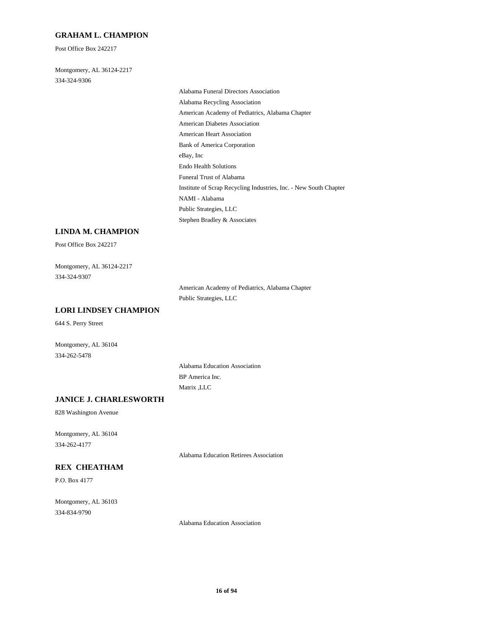#### **GRAHAM L. CHAMPION**

Post Office Box 242217

334-324-9306 Montgomery, AL 36124-2217

> American Diabetes Association American Heart Association Bank of America Corporation Alabama Funeral Directors Association Alabama Recycling Association American Academy of Pediatrics, Alabama Chapter eBay, Inc NAMI - Alabama Public Strategies, LLC Stephen Bradley & Associates Endo Health Solutions Funeral Trust of Alabama Institute of Scrap Recycling Industries, Inc. - New South Chapter

## **LINDA M. CHAMPION**

Post Office Box 242217

334-324-9307 Montgomery, AL 36124-2217

> American Academy of Pediatrics, Alabama Chapter Public Strategies, LLC

### **LORI LINDSEY CHAMPION**

644 S. Perry Street

334-262-5478 Montgomery, AL 36104

> Alabama Education Association BP America Inc. Matrix ,LLC

### **JANICE J. CHARLESWORTH**

828 Washington Avenue

334-262-4177 Montgomery, AL 36104

Alabama Education Retirees Association

## **REX CHEATHAM**

P.O. Box 4177

334-834-9790 Montgomery, AL 36103

Alabama Education Association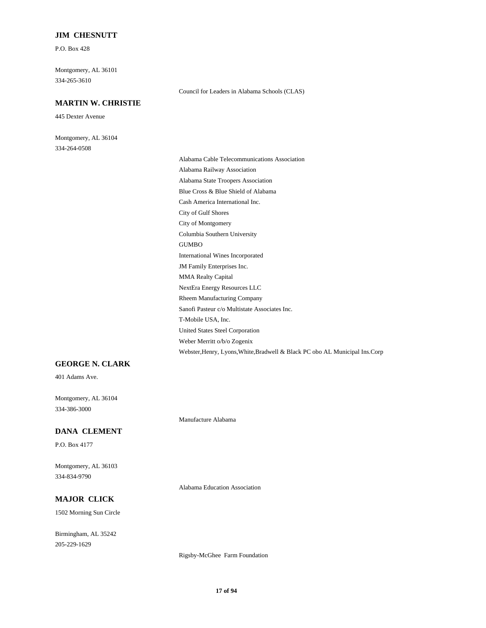### **JIM CHESNUTT**

P.O. Box 428

334-265-3610 Montgomery, AL 36101

## **MARTIN W. CHRISTIE**

445 Dexter Avenue

334-264-0508 Montgomery, AL 36104

> United States Steel Corporation Weber Merritt o/b/o Zogenix Webster,Henry, Lyons,White,Bradwell & Black PC obo AL Municipal Ins.Corp City of Gulf Shores Cash America International Inc. Columbia Southern University City of Montgomery Alabama Railway Association Alabama Cable Telecommunications Association Blue Cross & Blue Shield of Alabama Alabama State Troopers Association Rheem Manufacturing Company NextEra Energy Resources LLC T-Mobile USA, Inc. Sanofi Pasteur c/o Multistate Associates Inc. International Wines Incorporated GUMBO MMA Realty Capital JM Family Enterprises Inc.

Council for Leaders in Alabama Schools (CLAS)

#### **GEORGE N. CLARK**

401 Adams Ave.

334-386-3000 Montgomery, AL 36104

### **DANA CLEMENT**

P.O. Box 4177

334-834-9790 Montgomery, AL 36103

Alabama Education Association

Manufacture Alabama

# **MAJOR CLICK**

1502 Morning Sun Circle

205-229-1629 Birmingham, AL 35242

Rigsby-McGhee Farm Foundation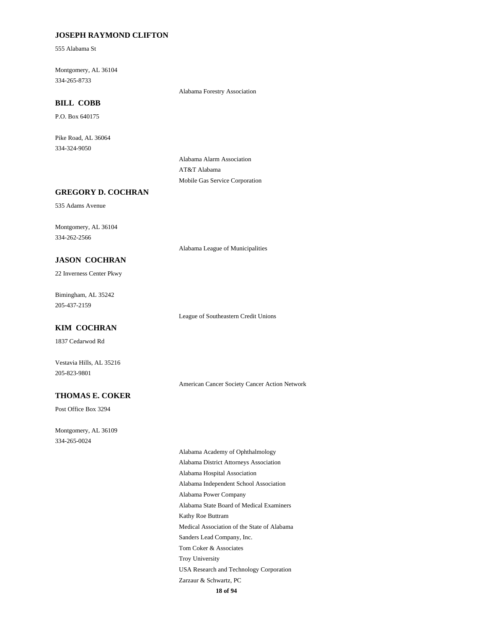### **JOSEPH RAYMOND CLIFTON**

555 Alabama St

334-265-8733 Montgomery, AL 36104

Alabama Forestry Association

# **BILL COBB**

P.O. Box 640175

334-324-9050 Pike Road, AL 36064

> Alabama Alarm Association AT&T Alabama Mobile Gas Service Corporation

# **GREGORY D. COCHRAN**

535 Adams Avenue

334-262-2566 Montgomery, AL 36104

Alabama League of Municipalities

#### **JASON COCHRAN**

22 Inverness Center Pkwy

205-437-2159 Bimingham, AL 35242

League of Southeastern Credit Unions

# **KIM COCHRAN**

1837 Cedarwod Rd

Vestavia Hills, AL 35216 205-823-9801

American Cancer Society Cancer Action Network

# **THOMAS E. COKER**

Post Office Box 3294

334-265-0024 Montgomery, AL 36109

> **18 of 94** Alabama Independent School Association Alabama Power Company Alabama State Board of Medical Examiners Alabama Academy of Ophthalmology Alabama District Attorneys Association Alabama Hospital Association Kathy Roe Buttram Troy University USA Research and Technology Corporation Zarzaur & Schwartz, PC Medical Association of the State of Alabama Sanders Lead Company, Inc. Tom Coker & Associates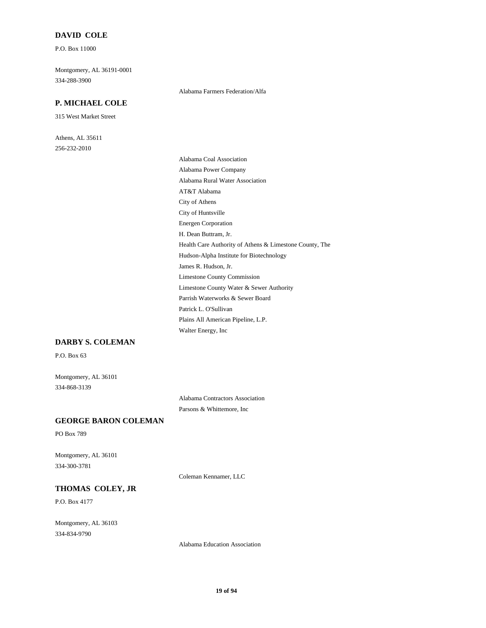#### **DAVID COLE**

P.O. Box 11000

334-288-3900 Montgomery, AL 36191-0001

## **P. MICHAEL COLE**

315 West Market Street

256-232-2010 Athens, AL 35611 Alabama Farmers Federation/Alfa

Walter Energy, Inc Plains All American Pipeline, L.P. City of Athens City of Huntsville Energen Corporation AT&T Alabama Alabama Coal Association Alabama Power Company Alabama Rural Water Association H. Dean Buttram, Jr. Limestone County Water & Sewer Authority Parrish Waterworks & Sewer Board Patrick L. O'Sullivan Limestone County Commission Health Care Authority of Athens & Limestone County, The Hudson-Alpha Institute for Biotechnology James R. Hudson, Jr.

# **DARBY S. COLEMAN**

P.O. Box 63

334-868-3139 Montgomery, AL 36101

> Alabama Contractors Association Parsons & Whittemore, Inc

## **GEORGE BARON COLEMAN**

PO Box 789

334-300-3781 Montgomery, AL 36101

Coleman Kennamer, LLC

# **THOMAS COLEY, JR**

P.O. Box 4177

334-834-9790 Montgomery, AL 36103

Alabama Education Association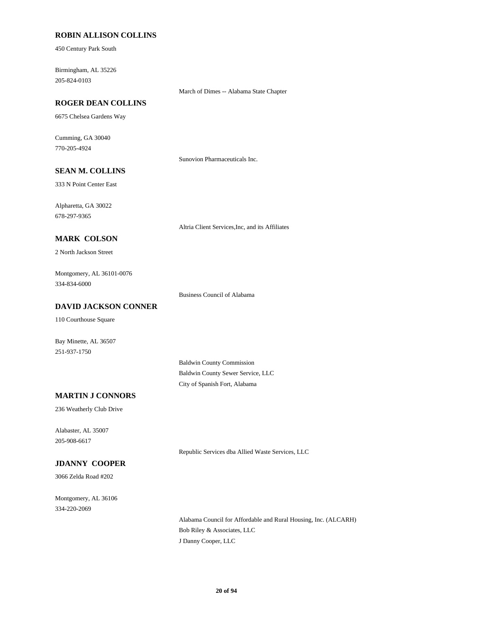## **ROBIN ALLISON COLLINS**

450 Century Park South

205-824-0103 Birmingham, AL 35226

### **ROGER DEAN COLLINS**

6675 Chelsea Gardens Way

770-205-4924 Cumming, GA 30040

Sunovion Pharmaceuticals Inc.

# **SEAN M. COLLINS**

333 N Point Center East

678-297-9365 Alpharetta, GA 30022

Altria Client Services,Inc, and its Affiliates

March of Dimes -- Alabama State Chapter

## **MARK COLSON**

2 North Jackson Street

334-834-6000 Montgomery, AL 36101-0076

Business Council of Alabama

# **DAVID JACKSON CONNER**

110 Courthouse Square

Bay Minette, AL 36507 251-937-1750

> Baldwin County Commission Baldwin County Sewer Service, LLC City of Spanish Fort, Alabama

#### **MARTIN J CONNORS**

236 Weatherly Club Drive

205-908-6617 Alabaster, AL 35007

Republic Services dba Allied Waste Services, LLC

# **JDANNY COOPER**

3066 Zelda Road #202

334-220-2069 Montgomery, AL 36106

> Alabama Council for Affordable and Rural Housing, Inc. (ALCARH) Bob Riley & Associates, LLC J Danny Cooper, LLC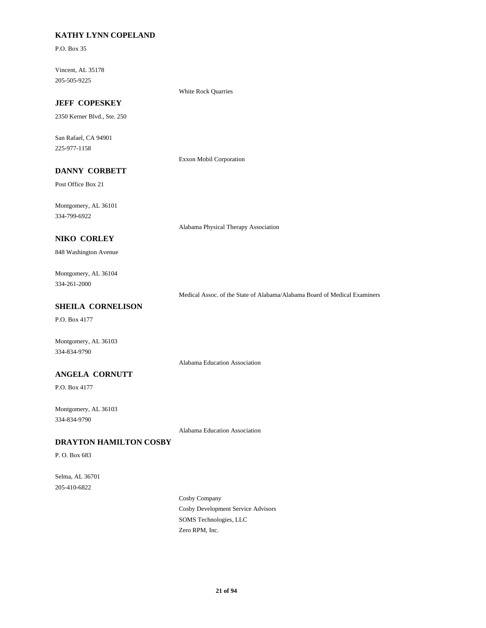# **KATHY LYNN COPELAND**

P.O. Box 35

205-505-9225 Vincent, AL 35178

White Rock Quarries

# **JEFF COPESKEY**

2350 Kerner Blvd., Ste. 250

225-977-1158 San Rafael, CA 94901

Exxon Mobil Corporation

# **DANNY CORBETT**

Post Office Box 21

334-799-6922 Montgomery, AL 36101

Alabama Physical Therapy Association

# **NIKO CORLEY**

848 Washington Avenue

# 334-261-2000 Montgomery, AL 36104

Medical Assoc. of the State of Alabama/Alabama Board of Medical Examiners

# **SHEILA CORNELISON**

P.O. Box 4177

Montgomery, AL 36103 334-834-9790

# Alabama Education Association

**ANGELA CORNUTT**

P.O. Box 4177

334-834-9790 Montgomery, AL 36103

Alabama Education Association

## **DRAYTON HAMILTON COSBY**

P. O. Box 683

205-410-6822 Selma, AL 36701

> Cosby Development Service Advisors Cosby Company Zero RPM, Inc. SOMS Technologies, LLC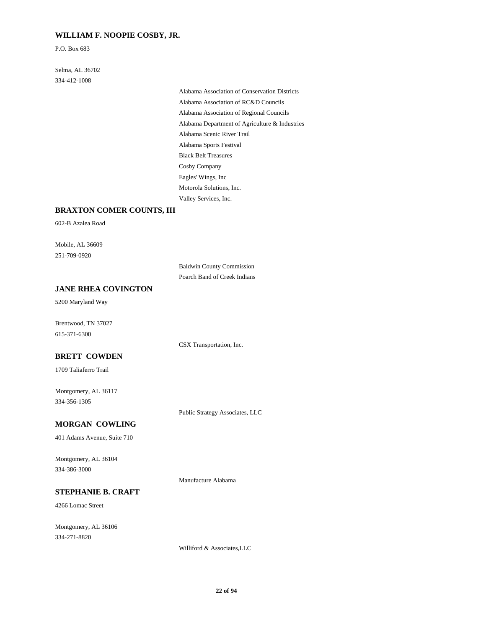### **WILLIAM F. NOOPIE COSBY, JR.**

P.O. Box 683

334-412-1008 Selma, AL 36702

> Alabama Department of Agriculture & Industries Alabama Scenic River Trail Alabama Association of Regional Councils Alabama Association of Conservation Districts Alabama Association of RC&D Councils Alabama Sports Festival Motorola Solutions, Inc. Valley Services, Inc. Eagles' Wings, Inc Black Belt Treasures Cosby Company

# **BRAXTON COMER COUNTS, III**

602-B Azalea Road

251-709-0920 Mobile, AL 36609

> Baldwin County Commission Poarch Band of Creek Indians

CSX Transportation, Inc.

# **JANE RHEA COVINGTON**

5200 Maryland Way

615-371-6300 Brentwood, TN 37027

#### **BRETT COWDEN**

1709 Taliaferro Trail

334-356-1305 Montgomery, AL 36117

Public Strategy Associates, LLC

# **MORGAN COWLING**

401 Adams Avenue, Suite 710

334-386-3000 Montgomery, AL 36104

Manufacture Alabama

#### **STEPHANIE B. CRAFT**

4266 Lomac Street

334-271-8820 Montgomery, AL 36106

Williford & Associates,LLC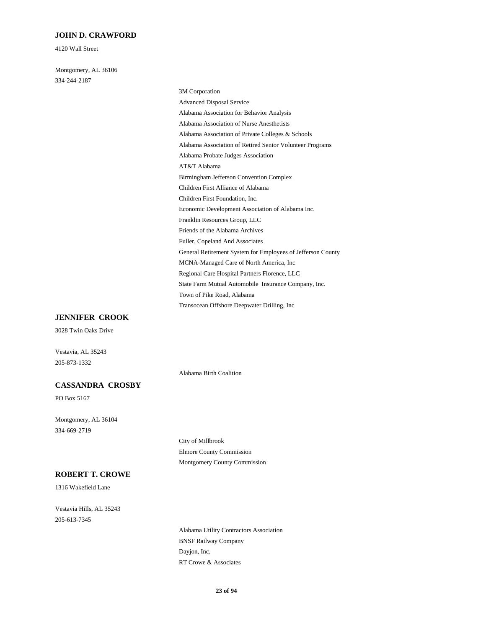#### **JOHN D. CRAWFORD**

4120 Wall Street

334-244-2187 Montgomery, AL 36106

> Alabama Probate Judges Association Alabama Association of Retired Senior Volunteer Programs AT&T Alabama Children First Alliance of Alabama Birmingham Jefferson Convention Complex Advanced Disposal Service 3M Corporation Alabama Association for Behavior Analysis Alabama Association of Private Colleges & Schools Alabama Association of Nurse Anesthetists Children First Foundation, Inc. Regional Care Hospital Partners Florence, LLC MCNA-Managed Care of North America, Inc State Farm Mutual Automobile Insurance Company, Inc. Transocean Offshore Deepwater Drilling, Inc Town of Pike Road, Alabama Franklin Resources Group, LLC Economic Development Association of Alabama Inc. Friends of the Alabama Archives General Retirement System for Employees of Jefferson County Fuller, Copeland And Associates

#### **JENNIFER CROOK**

3028 Twin Oaks Drive

Vestavia, AL 35243 205-873-1332

#### **CASSANDRA CROSBY**

PO Box 5167

334-669-2719 Montgomery, AL 36104

**ROBERT T. CROWE**

1316 Wakefield Lane

205-613-7345 Vestavia Hills, AL 35243 City of Millbrook Elmore County Commission Montgomery County Commission

Alabama Birth Coalition

BNSF Railway Company Alabama Utility Contractors Association RT Crowe & Associates Dayjon, Inc.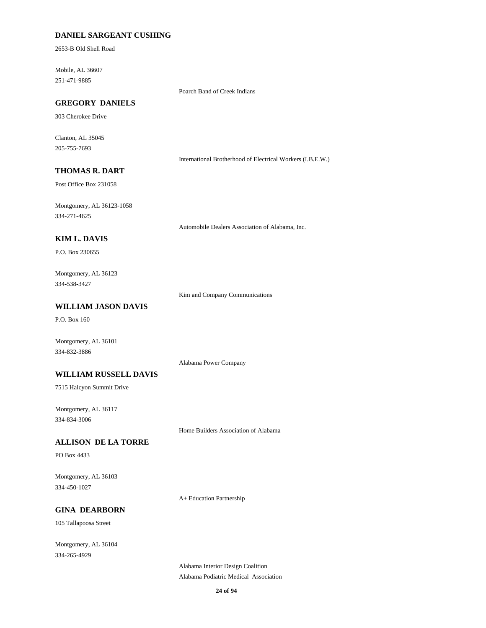# **DANIEL SARGEANT CUSHING**

2653-B Old Shell Road

251-471-9885 Mobile, AL 36607

Poarch Band of Creek Indians

# **GREGORY DANIELS**

303 Cherokee Drive

205-755-7693 Clanton, AL 35045

International Brotherhood of Electrical Workers (I.B.E.W.)

# **THOMAS R. DART**

Post Office Box 231058

334-271-4625 Montgomery, AL 36123-1058

Automobile Dealers Association of Alabama, Inc.

#### **KIM L. DAVIS**

P.O. Box 230655

### 334-538-3427 Montgomery, AL 36123

Kim and Company Communications

# **WILLIAM JASON DAVIS**

P.O. Box 160

Montgomery, AL 36101 334-832-3886

Alabama Power Company

#### **WILLIAM RUSSELL DAVIS**

7515 Halcyon Summit Drive

334-834-3006 Montgomery, AL 36117

Home Builders Association of Alabama

### **ALLISON DE LA TORRE**

PO Box 4433

334-450-1027 Montgomery, AL 36103

A+ Education Partnership

# **GINA DEARBORN**

105 Tallapoosa Street

334-265-4929 Montgomery, AL 36104

> Alabama Podiatric Medical Association Alabama Interior Design Coalition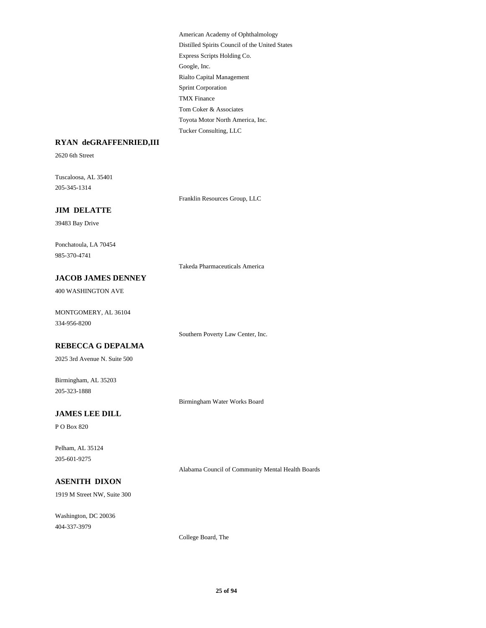Google, Inc. Rialto Capital Management Express Scripts Holding Co. American Academy of Ophthalmology Distilled Spirits Council of the United States Toyota Motor North America, Inc. Tucker Consulting, LLC Tom Coker & Associates Sprint Corporation TMX Finance

# **RYAN deGRAFFENRIED,III**

2620 6th Street

205-345-1314 Tuscaloosa, AL 35401

Franklin Resources Group, LLC

# **JIM DELATTE**

39483 Bay Drive

985-370-4741 Ponchatoula, LA 70454

Takeda Pharmaceuticals America

### **JACOB JAMES DENNEY**

400 WASHINGTON AVE

334-956-8200 MONTGOMERY, AL 36104

Southern Poverty Law Center, Inc.

### **REBECCA G DEPALMA**

2025 3rd Avenue N. Suite 500

205-323-1888 Birmingham, AL 35203

Birmingham Water Works Board

## **JAMES LEE DILL**

P O Box 820

205-601-9275 Pelham, AL 35124

Alabama Council of Community Mental Health Boards

### **ASENITH DIXON**

1919 M Street NW, Suite 300

404-337-3979 Washington, DC 20036

College Board, The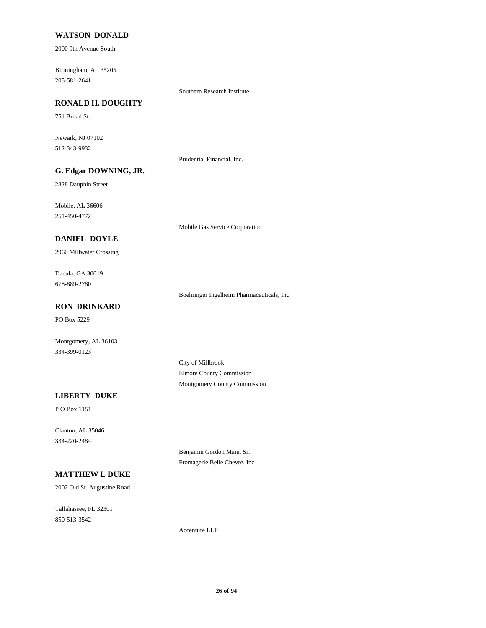### **WATSON DONALD**

2000 9th Avenue South

205-581-2641 Birmingham, AL 35205

Southern Research Institute

# **RONALD H. DOUGHTY**

751 Broad St.

512-343-9932 Newark, NJ 07102

Prudential Financial, Inc.

# **G. Edgar DOWNING, JR.**

2828 Dauphin Street

251-450-4772 Mobile, AL 36606

Mobile Gas Service Corporation

## **DANIEL DOYLE**

2960 Millwater Crossing

678-889-2780 Dacula, GA 30019

Boehringer Ingelheim Pharmaceuticals, Inc.

# **RON DRINKARD**

PO Box 5229

Montgomery, AL 36103 334-399-0123

> City of Millbrook Elmore County Commission Montgomery County Commission

#### **LIBERTY DUKE**

P O Box 1151

334-220-2484 Clanton, AL 35046

> Benjamin Gordon Main, Sr. Fromagerie Belle Chevre, Inc

# **MATTHEW L DUKE**

2002 Old St. Augustine Road

850-513-3542 Tallahassee, FL 32301

Accenture LLP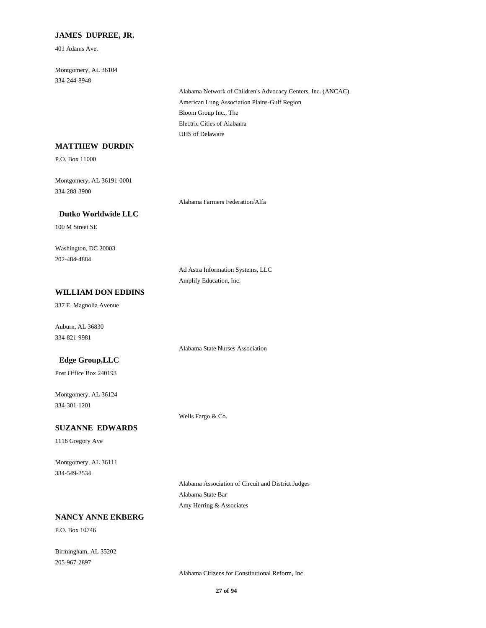## **JAMES DUPREE, JR.**

401 Adams Ave.

334-244-8948 Montgomery, AL 36104

> American Lung Association Plains-Gulf Region Alabama Network of Children's Advocacy Centers, Inc. (ANCAC) Bloom Group Inc., The UHS of Delaware Electric Cities of Alabama

# **MATTHEW DURDIN**

P.O. Box 11000

334-288-3900 Montgomery, AL 36191-0001

Alabama Farmers Federation/Alfa

 **Dutko Worldwide LLC**

100 M Street SE

202-484-4884 Washington, DC 20003

> Ad Astra Information Systems, LLC Amplify Education, Inc.

Alabama State Nurses Association

# **WILLIAM DON EDDINS**

337 E. Magnolia Avenue

334-821-9981 Auburn, AL 36830

### **Edge Group,LLC**

Post Office Box 240193

334-301-1201 Montgomery, AL 36124

Wells Fargo & Co.

### **SUZANNE EDWARDS**

1116 Gregory Ave

334-549-2534 Montgomery, AL 36111

> Alabama Association of Circuit and District Judges Alabama State Bar Amy Herring & Associates

### **NANCY ANNE EKBERG**

P.O. Box 10746

205-967-2897 Birmingham, AL 35202

Alabama Citizens for Constitutional Reform, Inc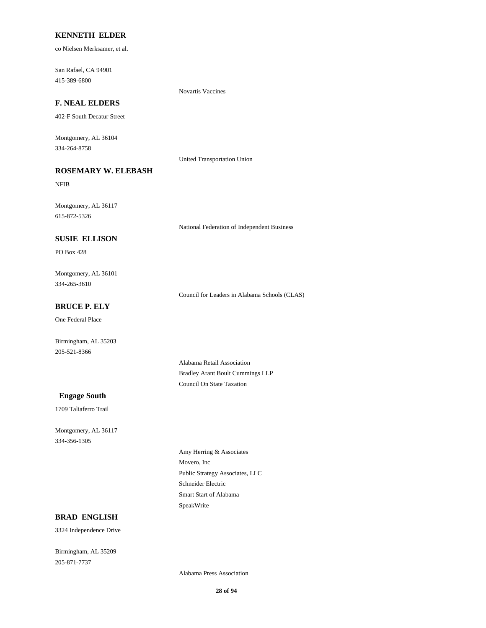### **KENNETH ELDER**

co Nielsen Merksamer, et al.

415-389-6800 San Rafael, CA 94901

### **F. NEAL ELDERS**

402-F South Decatur Street

334-264-8758 Montgomery, AL 36104

United Transportation Union

Novartis Vaccines

# **ROSEMARY W. ELEBASH**

NFIB

615-872-5326 Montgomery, AL 36117

National Federation of Independent Business

#### **SUSIE ELLISON**

PO Box 428

334-265-3610 Montgomery, AL 36101

Council for Leaders in Alabama Schools (CLAS)

# **BRUCE P. ELY**

One Federal Place

205-521-8366 Birmingham, AL 35203

> Alabama Retail Association Bradley Arant Boult Cummings LLP Council On State Taxation

#### **Engage South**

1709 Taliaferro Trail

334-356-1305 Montgomery, AL 36117

> Public Strategy Associates, LLC Movero, Inc Amy Herring & Associates SpeakWrite Smart Start of Alabama Schneider Electric

### **BRAD ENGLISH**

3324 Independence Drive

205-871-7737 Birmingham, AL 35209

Alabama Press Association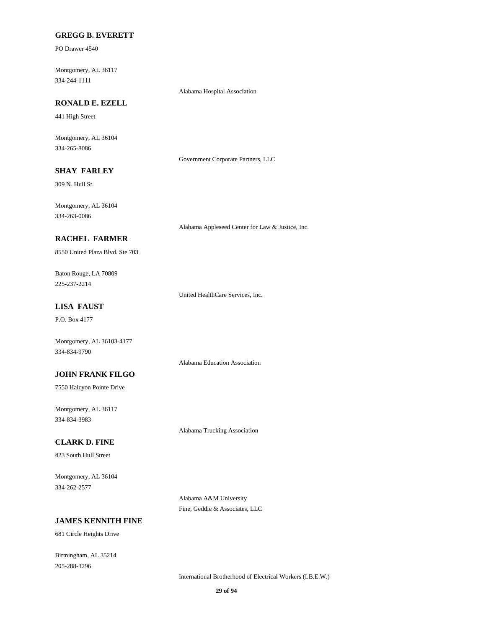#### **GREGG B. EVERETT**

PO Drawer 4540

334-244-1111 Montgomery, AL 36117

Alabama Hospital Association

# **RONALD E. EZELL**

441 High Street

334-265-8086 Montgomery, AL 36104

Government Corporate Partners, LLC

# **SHAY FARLEY**

309 N. Hull St.

334-263-0086 Montgomery, AL 36104

Alabama Appleseed Center for Law & Justice, Inc.

### **RACHEL FARMER**

8550 United Plaza Blvd. Ste 703

225-237-2214 Baton Rouge, LA 70809

United HealthCare Services, Inc.

Alabama Education Association

# **LISA FAUST**

P.O. Box 4177

334-834-9790 Montgomery, AL 36103-4177

#### **JOHN FRANK FILGO**

7550 Halcyon Pointe Drive

334-834-3983 Montgomery, AL 36117

#### **CLARK D. FINE**

423 South Hull Street

334-262-2577 Montgomery, AL 36104

> Alabama A&M University Fine, Geddie & Associates, LLC

Alabama Trucking Association

# **JAMES KENNITH FINE**

681 Circle Heights Drive

205-288-3296 Birmingham, AL 35214

International Brotherhood of Electrical Workers (I.B.E.W.)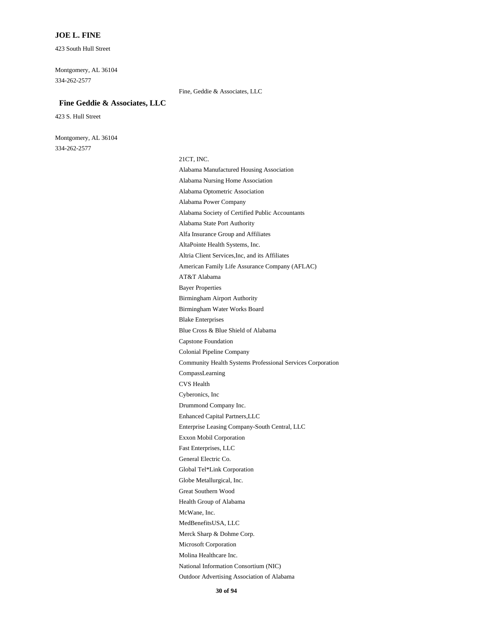#### **JOE L. FINE**

423 South Hull Street

334-262-2577 Montgomery, AL 36104

#### Fine, Geddie & Associates, LLC

#### **Fine Geddie & Associates, LLC**

423 S. Hull Street

334-262-2577 Montgomery, AL 36104

21CT, INC.

Enhanced Capital Partners,LLC Drummond Company Inc. Cyberonics, Inc Fast Enterprises, LLC Exxon Mobil Corporation Enterprise Leasing Company-South Central, LLC CVS Health Capstone Foundation Blue Cross & Blue Shield of Alabama CompassLearning Community Health Systems Professional Services Corporation Colonial Pipeline Company Molina Healthcare Inc. Microsoft Corporation Merck Sharp & Dohme Corp. Outdoor Advertising Association of Alabama National Information Consortium (NIC) MedBenefitsUSA, LLC Globe Metallurgical, Inc. Global Tel\*Link Corporation General Electric Co. McWane, Inc. Health Group of Alabama Great Southern Wood Alabama Power Company Alabama Optometric Association Alabama State Port Authority Alabama Society of Certified Public Accountants Blake Enterprises Alabama Nursing Home Association Alabama Manufactured Housing Association Bayer Properties AT&T Alabama Birmingham Water Works Board Birmingham Airport Authority AltaPointe Health Systems, Inc. Alfa Insurance Group and Affiliates American Family Life Assurance Company (AFLAC) Altria Client Services,Inc, and its Affiliates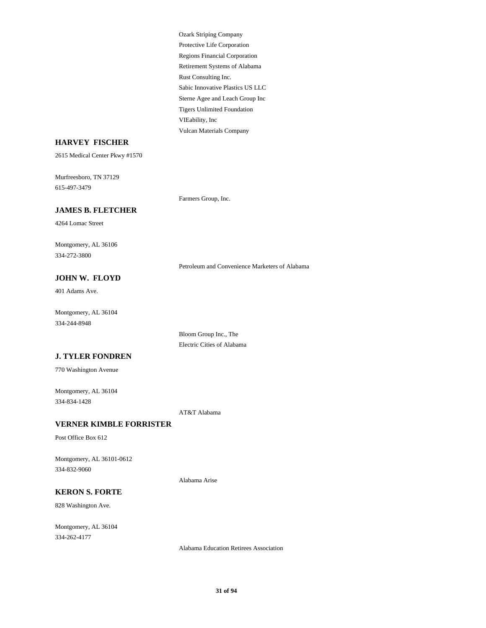Retirement Systems of Alabama Rust Consulting Inc. Regions Financial Corporation Ozark Striping Company Protective Life Corporation VIEability, Inc Vulcan Materials Company Tigers Unlimited Foundation Sabic Innovative Plastics US LLC Sterne Agee and Leach Group Inc

### **HARVEY FISCHER**

2615 Medical Center Pkwy #1570

615-497-3479 Murfreesboro, TN 37129

Farmers Group, Inc.

# **JAMES B. FLETCHER**

4264 Lomac Street

334-272-3800 Montgomery, AL 36106

Petroleum and Convenience Marketers of Alabama

## **JOHN W. FLOYD**

401 Adams Ave.

334-244-8948 Montgomery, AL 36104

> Bloom Group Inc., The Electric Cities of Alabama

### **J. TYLER FONDREN**

770 Washington Avenue

334-834-1428 Montgomery, AL 36104

AT&T Alabama

# **VERNER KIMBLE FORRISTER**

Post Office Box 612

334-832-9060 Montgomery, AL 36101-0612

Alabama Arise

## **KERON S. FORTE**

828 Washington Ave.

334-262-4177 Montgomery, AL 36104

Alabama Education Retirees Association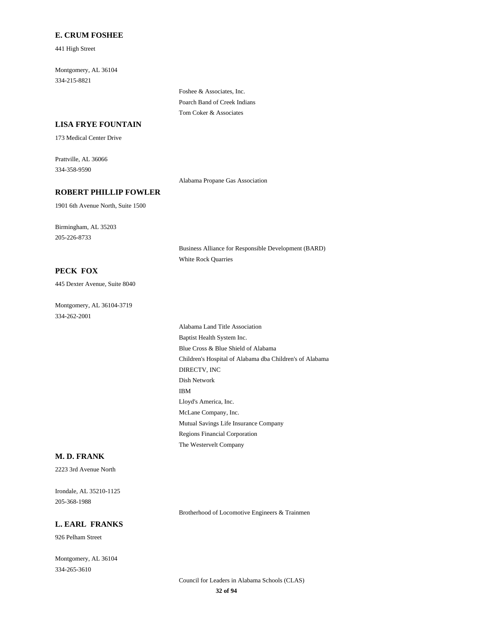#### **E. CRUM FOSHEE**

441 High Street

334-215-8821 Montgomery, AL 36104

> Foshee & Associates, Inc. Poarch Band of Creek Indians Tom Coker & Associates

# **LISA FRYE FOUNTAIN**

173 Medical Center Drive

334-358-9590 Prattville, AL 36066

Alabama Propane Gas Association

### **ROBERT PHILLIP FOWLER**

1901 6th Avenue North, Suite 1500

205-226-8733 Birmingham, AL 35203

> Business Alliance for Responsible Development (BARD) White Rock Quarries

# **PECK FOX**

445 Dexter Avenue, Suite 8040

334-262-2001 Montgomery, AL 36104-3719

> Dish Network IBM DIRECTV, INC Blue Cross & Blue Shield of Alabama Children's Hospital of Alabama dba Children's of Alabama Regions Financial Corporation The Westervelt Company Mutual Savings Life Insurance Company Lloyd's America, Inc. McLane Company, Inc. Alabama Land Title Association Baptist Health System Inc.

#### **M. D. FRANK**

2223 3rd Avenue North

205-368-1988 Irondale, AL 35210-1125

### **L. EARL FRANKS**

926 Pelham Street

334-265-3610 Montgomery, AL 36104 Brotherhood of Locomotive Engineers & Trainmen

**32 of 94** Council for Leaders in Alabama Schools (CLAS)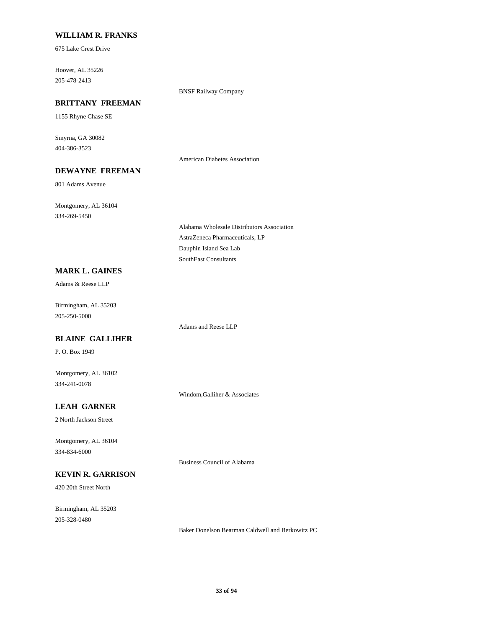### **WILLIAM R. FRANKS**

675 Lake Crest Drive

205-478-2413 Hoover, AL 35226

BNSF Railway Company

# **BRITTANY FREEMAN**

1155 Rhyne Chase SE

404-386-3523 Smyrna, GA 30082

American Diabetes Association

# **DEWAYNE FREEMAN**

801 Adams Avenue

334-269-5450 Montgomery, AL 36104

> AstraZeneca Pharmaceuticals, LP Alabama Wholesale Distributors Association SouthEast Consultants Dauphin Island Sea Lab

# **MARK L. GAINES**

Adams & Reese LLP

205-250-5000 Birmingham, AL 35203

#### **BLAINE GALLIHER**

P. O. Box 1949

334-241-0078 Montgomery, AL 36102

Windom,Galliher & Associates

Adams and Reese LLP

# **LEAH GARNER**

2 North Jackson Street

334-834-6000 Montgomery, AL 36104

### **KEVIN R. GARRISON**

420 20th Street North

205-328-0480 Birmingham, AL 35203

Business Council of Alabama

Baker Donelson Bearman Caldwell and Berkowitz PC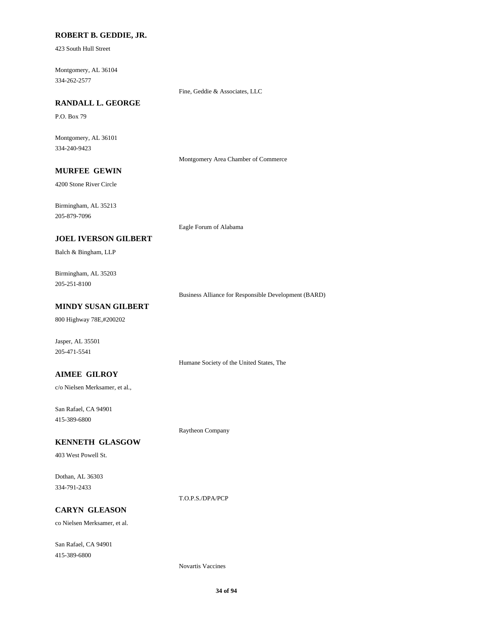## **ROBERT B. GEDDIE, JR.**

423 South Hull Street

334-262-2577 Montgomery, AL 36104

Fine, Geddie & Associates, LLC

# **RANDALL L. GEORGE**

P.O. Box 79

334-240-9423 Montgomery, AL 36101

Montgomery Area Chamber of Commerce

# **MURFEE GEWIN**

4200 Stone River Circle

Birmingham, AL 35213

205-879-7096

Eagle Forum of Alabama

### **JOEL IVERSON GILBERT**

Balch & Bingham, LLP

205-251-8100 Birmingham, AL 35203

Business Alliance for Responsible Development (BARD)

# **MINDY SUSAN GILBERT**

800 Highway 78E,#200202

Jasper, AL 35501 205-471-5541

Humane Society of the United States, The

### **AIMEE GILROY**

c/o Nielsen Merksamer, et al.,

415-389-6800 San Rafael, CA 94901

Raytheon Company

#### **KENNETH GLASGOW**

403 West Powell St.

334-791-2433 Dothan, AL 36303

T.O.P.S./DPA/PCP

# **CARYN GLEASON**

co Nielsen Merksamer, et al.

415-389-6800 San Rafael, CA 94901

Novartis Vaccines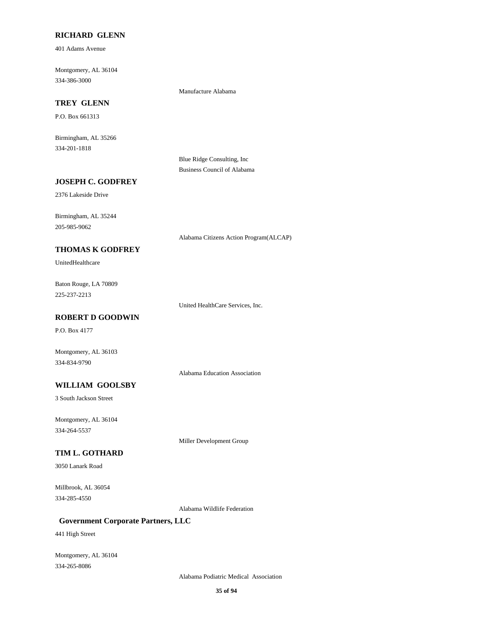#### **RICHARD GLENN**

401 Adams Avenue

334-386-3000 Montgomery, AL 36104

Manufacture Alabama

# **TREY GLENN**

P.O. Box 661313

334-201-1818 Birmingham, AL 35266

> Blue Ridge Consulting, Inc Business Council of Alabama

### **JOSEPH C. GODFREY**

2376 Lakeside Drive

205-985-9062 Birmingham, AL 35244

Alabama Citizens Action Program(ALCAP)

# **THOMAS K GODFREY**

UnitedHealthcare

225-237-2213 Baton Rouge, LA 70809

United HealthCare Services, Inc.

# **ROBERT D GOODWIN**

P.O. Box 4177

334-834-9790 Montgomery, AL 36103

Alabama Education Association

# **WILLIAM GOOLSBY**

3 South Jackson Street

334-264-5537 Montgomery, AL 36104

Miller Development Group

# **TIM L. GOTHARD**

3050 Lanark Road

334-285-4550 Millbrook, AL 36054

Alabama Wildlife Federation

### **Government Corporate Partners, LLC**

441 High Street

334-265-8086 Montgomery, AL 36104

Alabama Podiatric Medical Association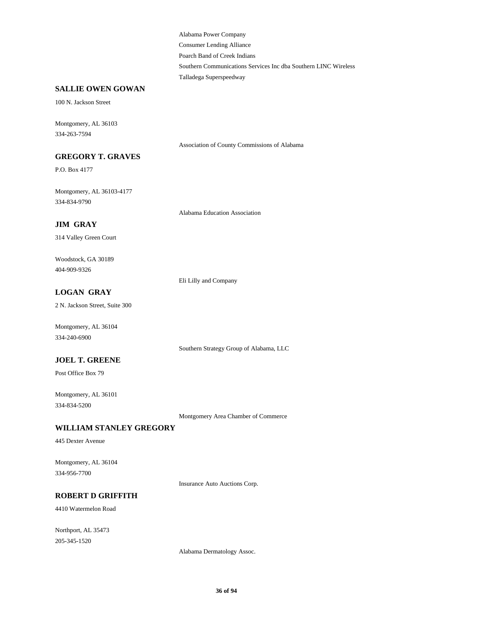Consumer Lending Alliance Alabama Power Company Poarch Band of Creek Indians Talladega Superspeedway Southern Communications Services Inc dba Southern LINC Wireless

### **SALLIE OWEN GOWAN**

100 N. Jackson Street

334-263-7594 Montgomery, AL 36103

Association of County Commissions of Alabama

# **GREGORY T. GRAVES**

P.O. Box 4177

334-834-9790 Montgomery, AL 36103-4177

Alabama Education Association

## **JIM GRAY**

314 Valley Green Court

404-909-9326 Woodstock, GA 30189

Eli Lilly and Company

# **LOGAN GRAY**

2 N. Jackson Street, Suite 300

334-240-6900 Montgomery, AL 36104

Southern Strategy Group of Alabama, LLC

## **JOEL T. GREENE**

Post Office Box 79

334-834-5200 Montgomery, AL 36101

Montgomery Area Chamber of Commerce

# **WILLIAM STANLEY GREGORY**

445 Dexter Avenue

334-956-7700 Montgomery, AL 36104

Insurance Auto Auctions Corp.

#### **ROBERT D GRIFFITH**

4410 Watermelon Road

205-345-1520 Northport, AL 35473

Alabama Dermatology Assoc.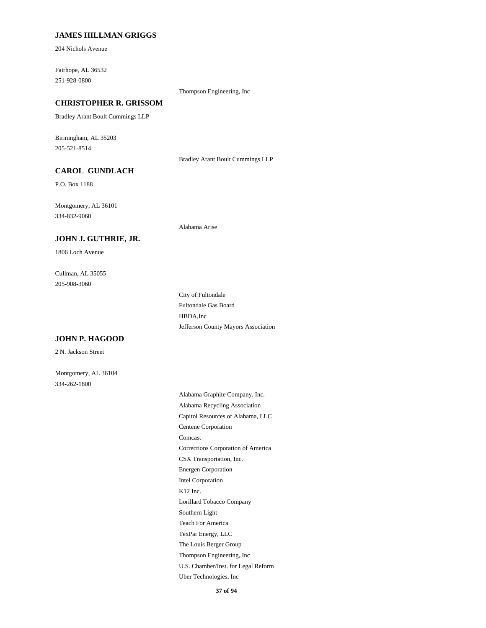#### **JAMES HILLMAN GRIGGS**

204 Nichols Avenue

251-928-0800 Fairhope, AL 36532

#### Thompson Engineering, Inc

## **CHRISTOPHER R. GRISSOM**

Bradley Arant Boult Cummings LLP

205-521-8514 Birmingham, AL 35203

Bradley Arant Boult Cummings LLP

Alabama Arise

## **CAROL GUNDLACH**

P.O. Box 1188

334-832-9060 Montgomery, AL 36101

#### **JOHN J. GUTHRIE, JR.**

1806 Loch Avenue

205-908-3060 Cullman, AL 35055

#### **JOHN P. HAGOOD**

2 N. Jackson Street

Montgomery, AL 36104 334-262-1800

Fultondale Gas Board City of Fultondale Jefferson County Mayors Association HBDA,Inc

CSX Transportation, Inc. Corrections Corporation of America Intel Corporation Energen Corporation Comcast Alabama Recycling Association Alabama Graphite Company, Inc. Centene Corporation Capitol Resources of Alabama, LLC K12 Inc. U.S. Chamber/Inst. for Legal Reform Thompson Engineering, Inc Uber Technologies, Inc The Louis Berger Group Southern Light Lorillard Tobacco Company TexPar Energy, LLC Teach For America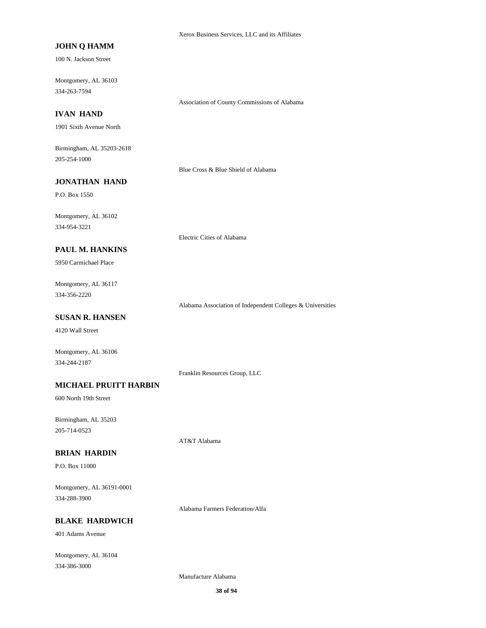#### **JOHN Q HAMM**

100 N. Jackson Street

334-263-7594 Montgomery, AL 36103

Association of County Commissions of Alabama

#### **IVAN HAND**

1901 Sixth Avenue North

205-254-1000 Birmingham, AL 35203-2618

Blue Cross & Blue Shield of Alabama

#### **JONATHAN HAND**

P.O. Box 1550

334-954-3221 Montgomery, AL 36102

Electric Cities of Alabama

## **PAUL M. HANKINS**

5950 Carmichael Place

334-356-2220 Montgomery, AL 36117

Alabama Association of Independent Colleges & Universities

#### **SUSAN R. HANSEN**

4120 Wall Street

Montgomery, AL 36106 334-244-2187

Franklin Resources Group, LLC

#### **MICHAEL PRUITT HARBIN**

600 North 19th Street

205-714-0523 Birmingham, AL 35203

AT&T Alabama

#### **BRIAN HARDIN**

P.O. Box 11000

334-288-3900 Montgomery, AL 36191-0001

Alabama Farmers Federation/Alfa

## **BLAKE HARDWICH**

401 Adams Avenue

334-386-3000 Montgomery, AL 36104

Manufacture Alabama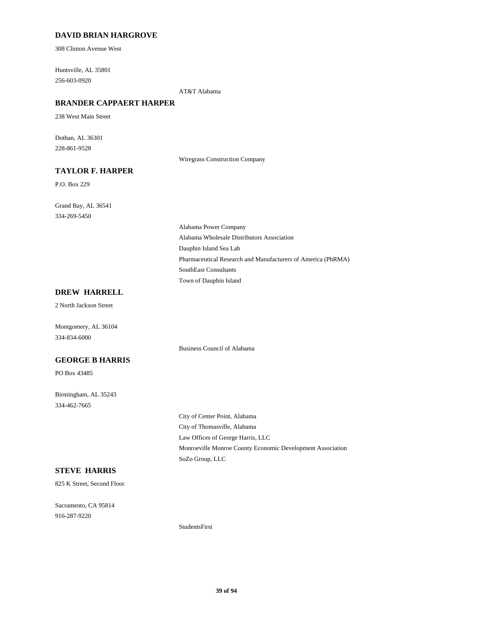## **DAVID BRIAN HARGROVE**

308 Clinton Avenue West

256-603-0920 Huntsville, AL 35801

AT&T Alabama

## **BRANDER CAPPAERT HARPER**

238 West Main Street

228-861-9528 Dothan, AL 36301

Wiregrass Construction Company

## **TAYLOR F. HARPER**

P.O. Box 229

334-269-5450 Grand Bay, AL 36541

> Dauphin Island Sea Lab Alabama Wholesale Distributors Association Alabama Power Company Town of Dauphin Island SouthEast Consultants Pharmaceutical Research and Manufacturers of America (PhRMA)

## **DREW HARRELL**

2 North Jackson Street

Montgomery, AL 36104 334-834-6000

Business Council of Alabama

## **GEORGE B HARRIS**

PO Box 43485

334-462-7665 Birmingham, AL 35243

> City of Thomasville, Alabama City of Center Point, Alabama Law Offices of George Harris, LLC SoZo Group, LLC Monroeville Monroe County Economic Development Association

## **STEVE HARRIS**

825 K Street, Second Floor

916-287-9220 Sacramento, CA 95814

StudentsFirst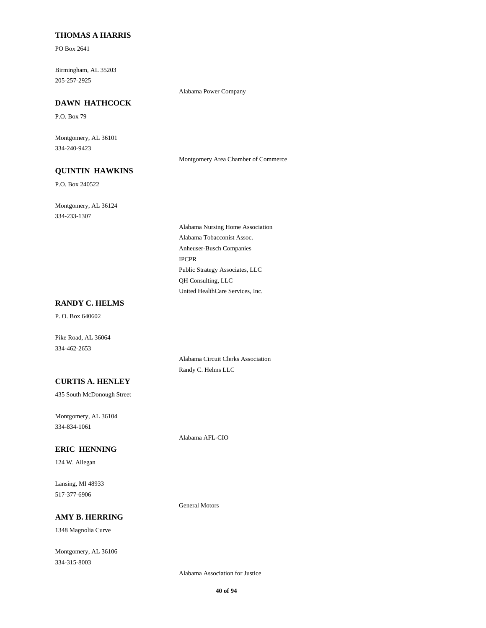#### **THOMAS A HARRIS**

PO Box 2641

205-257-2925 Birmingham, AL 35203

## Alabama Power Company

**DAWN HATHCOCK**

P.O. Box 79

334-240-9423 Montgomery, AL 36101

Montgomery Area Chamber of Commerce

## **QUINTIN HAWKINS**

P.O. Box 240522

334-233-1307 Montgomery, AL 36124

> Anheuser-Busch Companies Alabama Tobacconist Assoc. Alabama Nursing Home Association IPCPR United HealthCare Services, Inc. QH Consulting, LLC Public Strategy Associates, LLC

#### **RANDY C. HELMS**

P. O. Box 640602

Pike Road, AL 36064 334-462-2653

> Alabama Circuit Clerks Association Randy C. Helms LLC

## **CURTIS A. HENLEY**

435 South McDonough Street

334-834-1061 Montgomery, AL 36104

Alabama AFL-CIO

General Motors

## **ERIC HENNING**

124 W. Allegan

517-377-6906 Lansing, MI 48933

#### **AMY B. HERRING**

1348 Magnolia Curve

334-315-8003 Montgomery, AL 36106

Alabama Association for Justice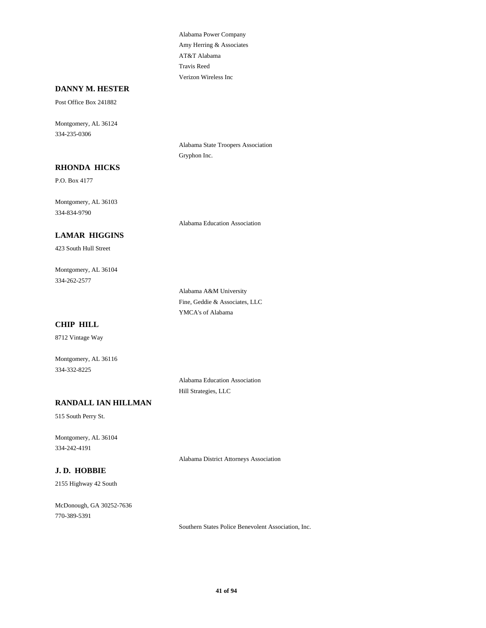Amy Herring & Associates Alabama Power Company AT&T Alabama Verizon Wireless Inc Travis Reed

#### **DANNY M. HESTER**

Post Office Box 241882

334-235-0306 Montgomery, AL 36124

> Alabama State Troopers Association Gryphon Inc.

# P.O. Box 4177

**RHONDA HICKS**

334-834-9790 Montgomery, AL 36103

#### **LAMAR HIGGINS**

423 South Hull Street

334-262-2577 Montgomery, AL 36104

> YMCA's of Alabama Alabama A&M University Fine, Geddie & Associates, LLC

Alabama Education Association

#### **CHIP HILL**

8712 Vintage Way

334-332-8225 Montgomery, AL 36116

**RANDALL IAN HILLMAN**

515 South Perry St.

334-242-4191 Montgomery, AL 36104

#### **J. D. HOBBIE**

2155 Highway 42 South

770-389-5391 McDonough, GA 30252-7636 Alabama Education Association Hill Strategies, LLC

Alabama District Attorneys Association

**41 of 94**

Southern States Police Benevolent Association, Inc.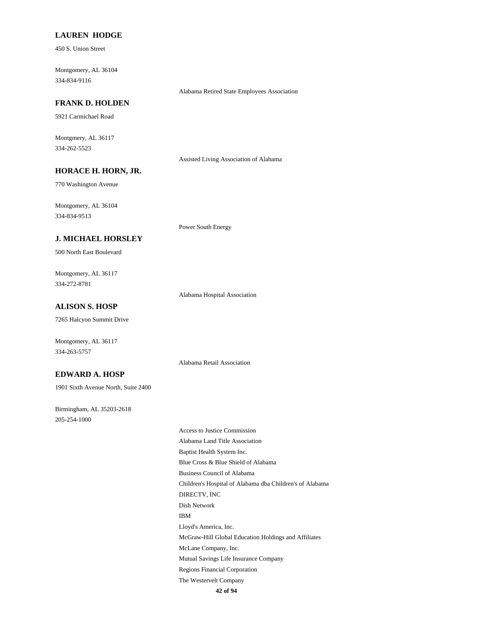#### **LAUREN HODGE**

450 S. Union Street

334-834-9116 Montgomery, AL 36104

#### Alabama Retired State Employees Association

## **FRANK D. HOLDEN**

5921 Carmichael Road

334-262-5523 Montgmery, AL 36117

Assisted Living Association of Alabama

#### **HORACE H. HORN, JR.**

770 Washington Avenue

334-834-9513 Montgomery, AL 36104

## **J. MICHAEL HORSLEY**

500 North East Boulevard

334-272-8781 Montgomery, AL 36117

Alabama Hospital Association

Power South Energy

Alabama Retail Association

## **ALISON S. HOSP**

7265 Halcyon Summit Drive

Montgomery, AL 36117 334-263-5757

#### **EDWARD A. HOSP**

1901 Sixth Avenue North, Suite 2400

205-254-1000 Birmingham, AL 35203-2618

> Children's Hospital of Alabama dba Children's of Alabama Business Council of Alabama Dish Network DIRECTV, INC Alabama Land Title Association Access to Justice Commission Blue Cross & Blue Shield of Alabama Baptist Health System Inc. IBM The Westervelt Company Regions Financial Corporation McGraw-Hill Global Education Holdings and Affiliates Lloyd's America, Inc. Mutual Savings Life Insurance Company McLane Company, Inc.

> > **42 of 94**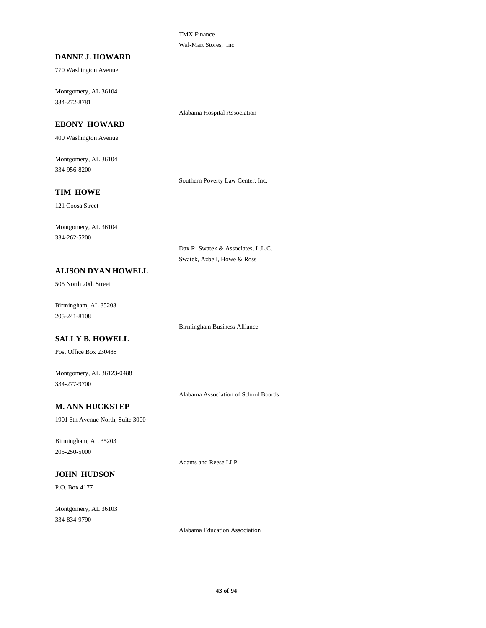TMX Finance Wal-Mart Stores, Inc.

#### **DANNE J. HOWARD**

770 Washington Avenue

334-272-8781 Montgomery, AL 36104

## **EBONY HOWARD**

400 Washington Avenue

334-956-8200 Montgomery, AL 36104

Southern Poverty Law Center, Inc.

Alabama Hospital Association

# **TIM HOWE**

121 Coosa Street

334-262-5200 Montgomery, AL 36104

> Dax R. Swatek & Associates, L.L.C. Swatek, Azbell, Howe & Ross

## **ALISON DYAN HOWELL**

505 North 20th Street

205-241-8108 Birmingham, AL 35203

Birmingham Business Alliance

## **SALLY B. HOWELL**

Post Office Box 230488

334-277-9700 Montgomery, AL 36123-0488

Alabama Association of School Boards

## **M. ANN HUCKSTEP**

1901 6th Avenue North, Suite 3000

205-250-5000 Birmingham, AL 35203

## **JOHN HUDSON**

P.O. Box 4177

334-834-9790 Montgomery, AL 36103

Alabama Education Association

Adams and Reese LLP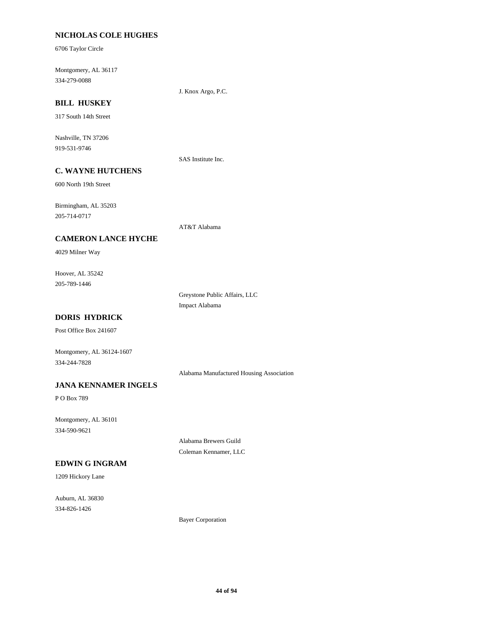## **NICHOLAS COLE HUGHES**

6706 Taylor Circle

334-279-0088 Montgomery, AL 36117

J. Knox Argo, P.C.

## **BILL HUSKEY**

317 South 14th Street

919-531-9746 Nashville, TN 37206

SAS Institute Inc.

## **C. WAYNE HUTCHENS**

600 North 19th Street

205-714-0717 Birmingham, AL 35203

AT&T Alabama

#### **CAMERON LANCE HYCHE**

4029 Milner Way

205-789-1446 Hoover, AL 35242

> Greystone Public Affairs, LLC Impact Alabama

## **DORIS HYDRICK**

Post Office Box 241607

334-244-7828 Montgomery, AL 36124-1607

Alabama Manufactured Housing Association

## **JANA KENNAMER INGELS**

P O Box 789

334-590-9621 Montgomery, AL 36101

> Alabama Brewers Guild Coleman Kennamer, LLC

## **EDWIN G INGRAM**

1209 Hickory Lane

334-826-1426 Auburn, AL 36830

Bayer Corporation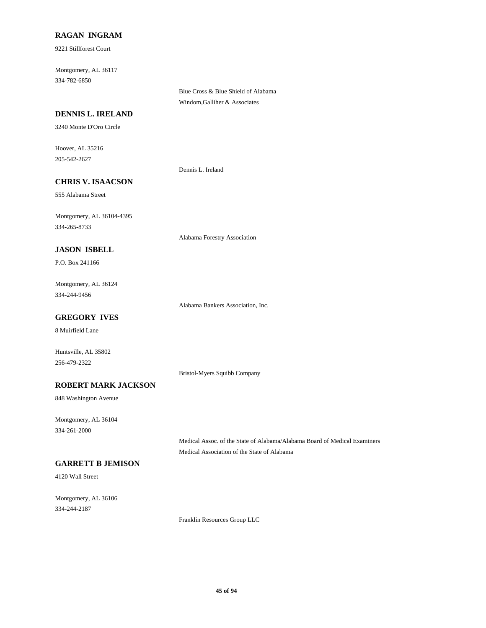## **RAGAN INGRAM**

9221 Stillforest Court

334-782-6850 Montgomery, AL 36117

> Blue Cross & Blue Shield of Alabama Windom,Galliher & Associates

#### **DENNIS L. IRELAND**

3240 Monte D'Oro Circle

205-542-2627 Hoover, AL 35216

Dennis L. Ireland

## **CHRIS V. ISAACSON**

555 Alabama Street

334-265-8733 Montgomery, AL 36104-4395

# **JASON ISBELL**

P.O. Box 241166

334-244-9456 Montgomery, AL 36124

Alabama Bankers Association, Inc.

Alabama Forestry Association

## **GREGORY IVES**

8 Muirfield Lane

Huntsville, AL 35802 256-479-2322

Bristol-Myers Squibb Company

#### **ROBERT MARK JACKSON**

848 Washington Avenue

334-261-2000 Montgomery, AL 36104

> Medical Assoc. of the State of Alabama/Alabama Board of Medical Examiners Medical Association of the State of Alabama

## **GARRETT B JEMISON**

4120 Wall Street

334-244-2187 Montgomery, AL 36106

Franklin Resources Group LLC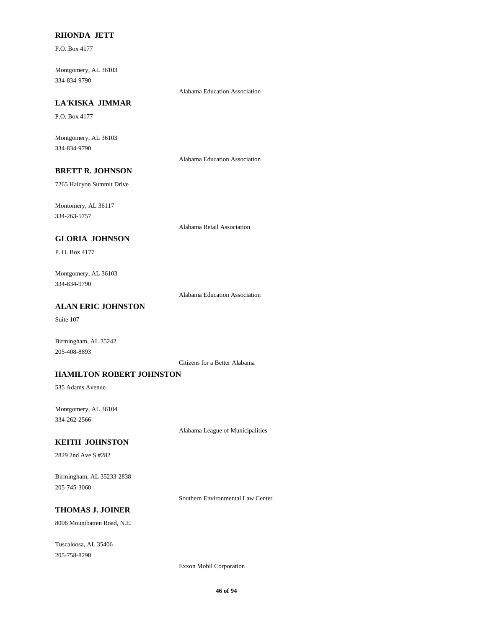#### **RHONDA JETT**

P.O. Box 4177

334-834-9790 Montgomery, AL 36103

Alabama Education Association

# **LA'KISKA JIMMAR**

P.O. Box 4177

334-834-9790 Montgomery, AL 36103

Alabama Education Association

## **BRETT R. JOHNSON**

7265 Halcyon Summit Drive

334-263-5757 Montomery, AL 36117

Alabama Retail Association

#### **GLORIA JOHNSON**

P. O. Box 4177

334-834-9790 Montgomery, AL 36103

Alabama Education Association

## **ALAN ERIC JOHNSTON**

Suite 107

Birmingham, AL 35242 205-408-8893

Citizens for a Better Alabama

#### **HAMILTON ROBERT JOHNSTON**

535 Adams Avenue

334-262-2566 Montgomery, AL 36104

Alabama League of Municipalities

#### **KEITH JOHNSTON**

2829 2nd Ave S #282

205-745-3060 Birmingham, AL 35233-2838

Southern Environmental Law Center

# **THOMAS J. JOINER**

8006 Mountbatten Road, N.E.

205-758-8298 Tuscaloosa, AL 35406

Exxon Mobil Corporation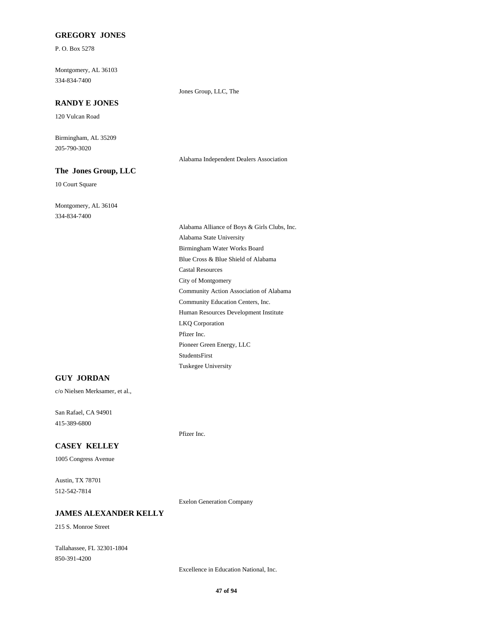## **GREGORY JONES**

P. O. Box 5278

334-834-7400 Montgomery, AL 36103

Jones Group, LLC, The

# **RANDY E JONES**

120 Vulcan Road

205-790-3020 Birmingham, AL 35209

Alabama Independent Dealers Association

## **The Jones Group, LLC**

10 Court Square

334-834-7400 Montgomery, AL 36104

> Pioneer Green Energy, LLC StudentsFirst Tuskegee University Pfizer Inc. Blue Cross & Blue Shield of Alabama Castal Resources Birmingham Water Works Board Alabama Alliance of Boys & Girls Clubs, Inc. Alabama State University Human Resources Development Institute LKQ Corporation Community Education Centers, Inc. City of Montgomery Community Action Association of Alabama

#### **GUY JORDAN**

c/o Nielsen Merksamer, et al.,

415-389-6800 San Rafael, CA 94901

#### **CASEY KELLEY**

1005 Congress Avenue

512-542-7814 Austin, TX 78701

Exelon Generation Company

Pfizer Inc.

#### **JAMES ALEXANDER KELLY**

215 S. Monroe Street

850-391-4200 Tallahassee, FL 32301-1804

Excellence in Education National, Inc.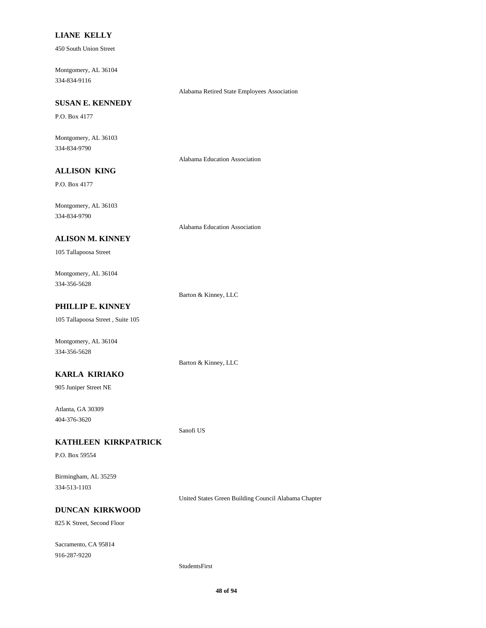#### **LIANE KELLY**

450 South Union Street

334-834-9116 Montgomery, AL 36104

Alabama Retired State Employees Association

## **SUSAN E. KENNEDY**

P.O. Box 4177

334-834-9790 Montgomery, AL 36103

Alabama Education Association

## **ALLISON KING**

P.O. Box 4177

334-834-9790 Montgomery, AL 36103

Alabama Education Association

#### **ALISON M. KINNEY**

105 Tallapoosa Street

334-356-5628 Montgomery, AL 36104

Barton & Kinney, LLC

## **PHILLIP E. KINNEY**

105 Tallapoosa Street , Suite 105

Montgomery, AL 36104 334-356-5628

Barton & Kinney, LLC

#### **KARLA KIRIAKO**

905 Juniper Street NE

404-376-3620 Atlanta, GA 30309

Sanofi US

## **KATHLEEN KIRKPATRICK**

P.O. Box 59554

334-513-1103 Birmingham, AL 35259

United States Green Building Council Alabama Chapter

## **DUNCAN KIRKWOOD**

825 K Street, Second Floor

916-287-9220 Sacramento, CA 95814

#### StudentsFirst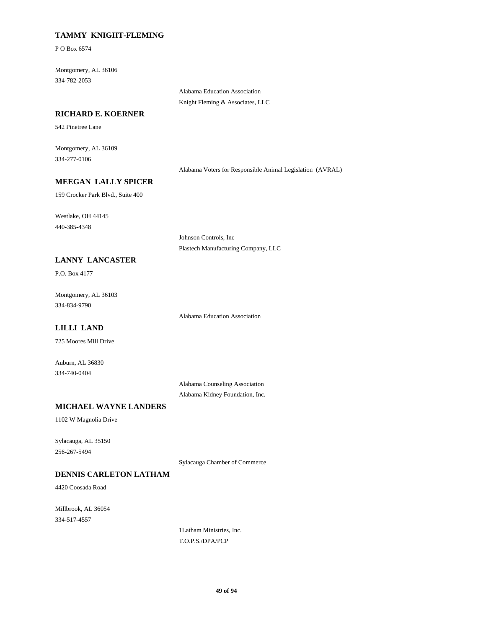## **TAMMY KNIGHT-FLEMING**

P O Box 6574

334-782-2053 Montgomery, AL 36106

> Alabama Education Association Knight Fleming & Associates, LLC

#### **RICHARD E. KOERNER**

542 Pinetree Lane

334-277-0106 Montgomery, AL 36109

Alabama Voters for Responsible Animal Legislation (AVRAL)

#### **MEEGAN LALLY SPICER**

159 Crocker Park Blvd., Suite 400

440-385-4348 Westlake, OH 44145

> Johnson Controls, Inc Plastech Manufacturing Company, LLC

#### **LANNY LANCASTER**

P.O. Box 4177

334-834-9790 Montgomery, AL 36103

Alabama Education Association

## **LILLI LAND**

725 Moores Mill Drive

334-740-0404 Auburn, AL 36830

> Alabama Counseling Association Alabama Kidney Foundation, Inc.

#### **MICHAEL WAYNE LANDERS**

1102 W Magnolia Drive

256-267-5494 Sylacauga, AL 35150

Sylacauga Chamber of Commerce

## **DENNIS CARLETON LATHAM**

4420 Coosada Road

334-517-4557 Millbrook, AL 36054

1Latham Ministries, Inc. T.O.P.S./DPA/PCP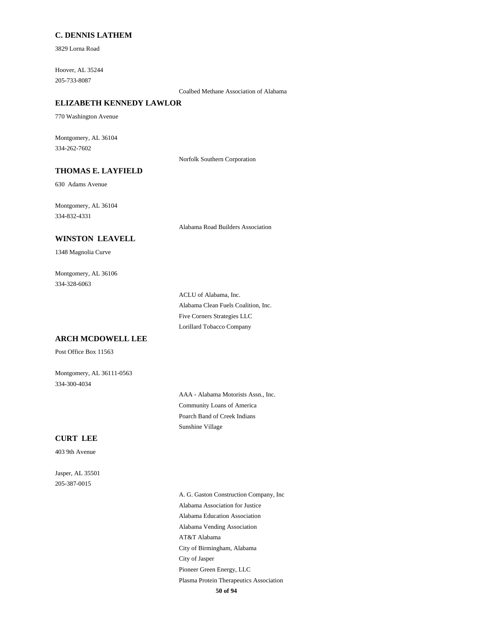#### **C. DENNIS LATHEM**

3829 Lorna Road

205-733-8087 Hoover, AL 35244

Coalbed Methane Association of Alabama

## **ELIZABETH KENNEDY LAWLOR**

770 Washington Avenue

334-262-7602 Montgomery, AL 36104

Norfolk Southern Corporation

## **THOMAS E. LAYFIELD**

630 Adams Avenue

334-832-4331 Montgomery, AL 36104

Alabama Road Builders Association

#### **WINSTON LEAVELL**

1348 Magnolia Curve

334-328-6063 Montgomery, AL 36106

> Alabama Clean Fuels Coalition, Inc. ACLU of Alabama, Inc. Lorillard Tobacco Company Five Corners Strategies LLC

#### **ARCH MCDOWELL LEE**

Post Office Box 11563

Montgomery, AL 36111-0563 334-300-4034

> Community Loans of America AAA - Alabama Motorists Assn., Inc. Sunshine Village Poarch Band of Creek Indians

#### **CURT LEE**

403 9th Avenue

205-387-0015 Jasper, AL 35501

> **50 of 94** Alabama Vending Association AT&T Alabama Alabama Education Association A. G. Gaston Construction Company, Inc Alabama Association for Justice Plasma Protein Therapeutics Association Pioneer Green Energy, LLC City of Birmingham, Alabama City of Jasper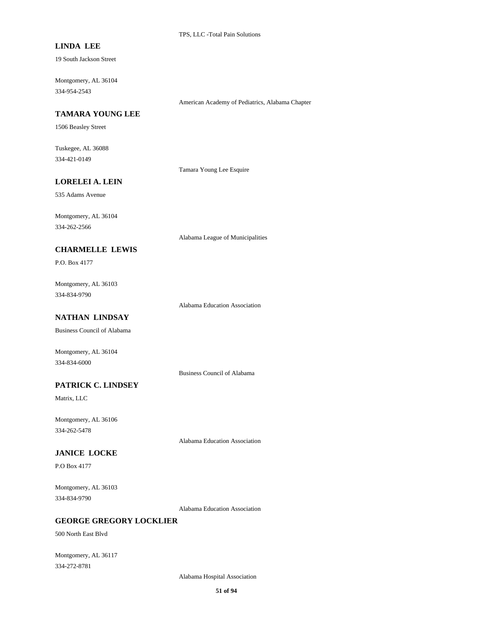## **LINDA LEE**

19 South Jackson Street

334-954-2543 Montgomery, AL 36104

American Academy of Pediatrics, Alabama Chapter

#### **TAMARA YOUNG LEE**

1506 Beasley Street

334-421-0149 Tuskegee, AL 36088

Tamara Young Lee Esquire

## **LORELEI A. LEIN**

535 Adams Avenue

334-262-2566 Montgomery, AL 36104

Alabama League of Municipalities

## **CHARMELLE LEWIS**

P.O. Box 4177

334-834-9790 Montgomery, AL 36103

Alabama Education Association

## **NATHAN LINDSAY**

Business Council of Alabama

Montgomery, AL 36104 334-834-6000

Business Council of Alabama

## **PATRICK C. LINDSEY**

Matrix, LLC

334-262-5478 Montgomery, AL 36106

Alabama Education Association

## **JANICE LOCKE**

P.O Box 4177

334-834-9790 Montgomery, AL 36103

Alabama Education Association

## **GEORGE GREGORY LOCKLIER**

500 North East Blvd

334-272-8781 Montgomery, AL 36117

Alabama Hospital Association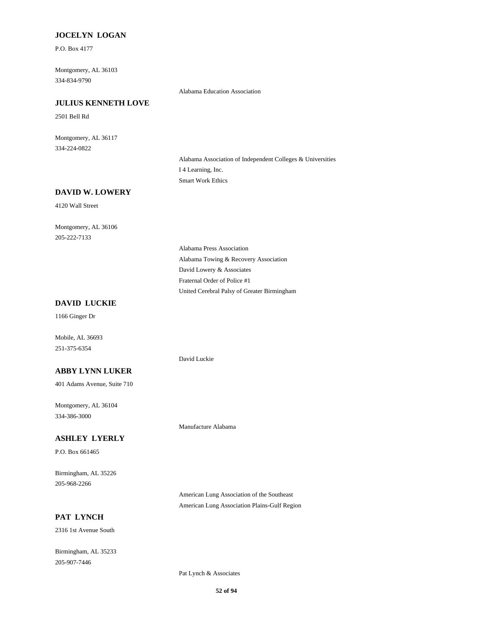## **JOCELYN LOGAN**

P.O. Box 4177

334-834-9790 Montgomery, AL 36103

Alabama Education Association

## **JULIUS KENNETH LOVE**

2501 Bell Rd

334-224-0822 Montgomery, AL 36117

> Alabama Association of Independent Colleges & Universities I 4 Learning, Inc. Smart Work Ethics

## **DAVID W. LOWERY**

4120 Wall Street

205-222-7133 Montgomery, AL 36106

> Alabama Towing & Recovery Association Alabama Press Association David Lowery & Associates United Cerebral Palsy of Greater Birmingham Fraternal Order of Police #1

#### **DAVID LUCKIE**

1166 Ginger Dr

251-375-6354 Mobile, AL 36693

## **ABBY LYNN LUKER**

401 Adams Avenue, Suite 710

334-386-3000 Montgomery, AL 36104

## **ASHLEY LYERLY**

P.O. Box 661465

205-968-2266 Birmingham, AL 35226

American Lung Association of the Southeast American Lung Association Plains-Gulf Region

## **PAT LYNCH**

2316 1st Avenue South

205-907-7446 Birmingham, AL 35233

Pat Lynch & Associates

Manufacture Alabama

David Luckie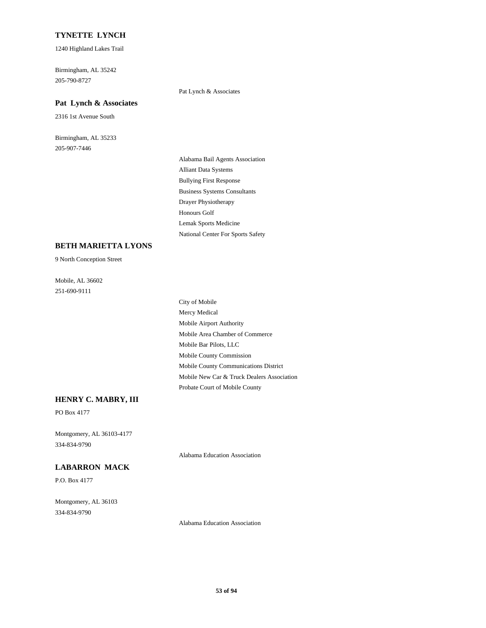#### **TYNETTE LYNCH**

1240 Highland Lakes Trail

205-790-8727 Birmingham, AL 35242

#### **Pat Lynch & Associates**

2316 1st Avenue South

205-907-7446 Birmingham, AL 35233 Pat Lynch & Associates

Bullying First Response Business Systems Consultants Alabama Bail Agents Association Alliant Data Systems Lemak Sports Medicine National Center For Sports Safety Drayer Physiotherapy Honours Golf

#### **BETH MARIETTA LYONS**

9 North Conception Street

251-690-9111 Mobile, AL 36602

> Mobile County Communications District Mobile County Commission Probate Court of Mobile County Mobile New Car & Truck Dealers Association Mobile Bar Pilots, LLC Mercy Medical City of Mobile Mobile Area Chamber of Commerce Mobile Airport Authority

#### **HENRY C. MABRY, III**

PO Box 4177

334-834-9790 Montgomery, AL 36103-4177

Alabama Education Association

#### **LABARRON MACK**

P.O. Box 4177

334-834-9790 Montgomery, AL 36103

Alabama Education Association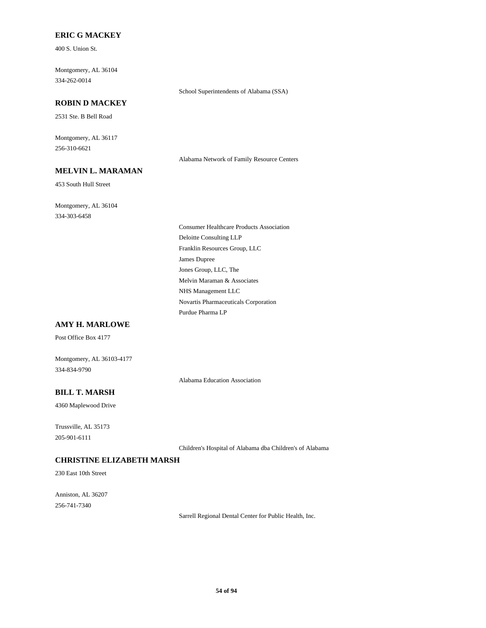## **ERIC G MACKEY**

400 S. Union St.

334-262-0014 Montgomery, AL 36104

## **ROBIN D MACKEY**

2531 Ste. B Bell Road

256-310-6621 Montgomery, AL 36117

#### **MELVIN L. MARAMAN**

453 South Hull Street

334-303-6458 Montgomery, AL 36104 School Superintendents of Alabama (SSA)

Alabama Network of Family Resource Centers

Franklin Resources Group, LLC James Dupree Consumer Healthcare Products Association Deloitte Consulting LLP Jones Group, LLC, The Novartis Pharmaceuticals Corporation Purdue Pharma LP Melvin Maraman & Associates NHS Management LLC

#### **AMY H. MARLOWE**

Post Office Box 4177

Montgomery, AL 36103-4177 334-834-9790

Alabama Education Association

## **BILL T. MARSH**

4360 Maplewood Drive

205-901-6111 Trussville, AL 35173

Children's Hospital of Alabama dba Children's of Alabama

## **CHRISTINE ELIZABETH MARSH**

230 East 10th Street

256-741-7340 Anniston, AL 36207

Sarrell Regional Dental Center for Public Health, Inc.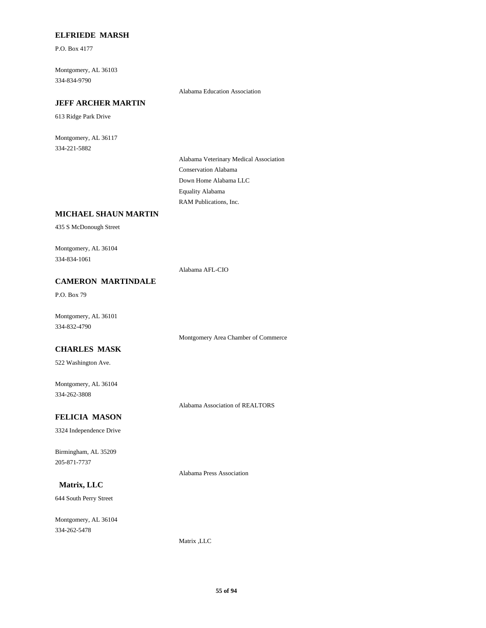#### **ELFRIEDE MARSH**

P.O. Box 4177

334-834-9790 Montgomery, AL 36103

Alabama Education Association

## **JEFF ARCHER MARTIN**

613 Ridge Park Drive

334-221-5882 Montgomery, AL 36117

> Conservation Alabama Alabama Veterinary Medical Association Down Home Alabama LLC RAM Publications, Inc. Equality Alabama

## **MICHAEL SHAUN MARTIN**

435 S McDonough Street

334-834-1061 Montgomery, AL 36104

Alabama AFL-CIO

## **CAMERON MARTINDALE**

P.O. Box 79

334-832-4790 Montgomery, AL 36101

Montgomery Area Chamber of Commerce

#### **CHARLES MASK**

522 Washington Ave.

334-262-3808 Montgomery, AL 36104

Alabama Association of REALTORS

## **FELICIA MASON**

3324 Independence Drive

205-871-7737 Birmingham, AL 35209

Alabama Press Association

## **Matrix, LLC**

644 South Perry Street

334-262-5478 Montgomery, AL 36104

Matrix ,LLC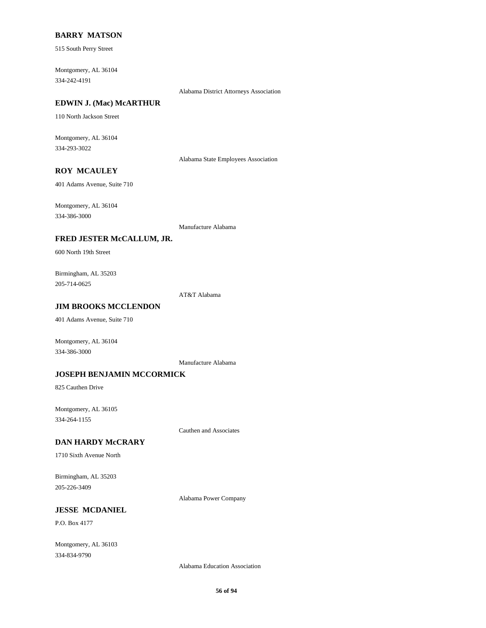#### **BARRY MATSON**

515 South Perry Street

334-242-4191 Montgomery, AL 36104

Alabama District Attorneys Association

## **EDWIN J. (Mac) McARTHUR**

110 North Jackson Street

334-293-3022 Montgomery, AL 36104

Alabama State Employees Association

## **ROY MCAULEY**

401 Adams Avenue, Suite 710

334-386-3000 Montgomery, AL 36104

Manufacture Alabama

#### **FRED JESTER McCALLUM, JR.**

600 North 19th Street

205-714-0625 Birmingham, AL 35203

AT&T Alabama

## **JIM BROOKS MCCLENDON**

401 Adams Avenue, Suite 710

Montgomery, AL 36104 334-386-3000

Manufacture Alabama

#### **JOSEPH BENJAMIN MCCORMICK**

825 Cauthen Drive

334-264-1155 Montgomery, AL 36105

Cauthen and Associates

#### **DAN HARDY McCRARY**

1710 Sixth Avenue North

205-226-3409 Birmingham, AL 35203

Alabama Power Company

## **JESSE MCDANIEL**

P.O. Box 4177

334-834-9790 Montgomery, AL 36103

Alabama Education Association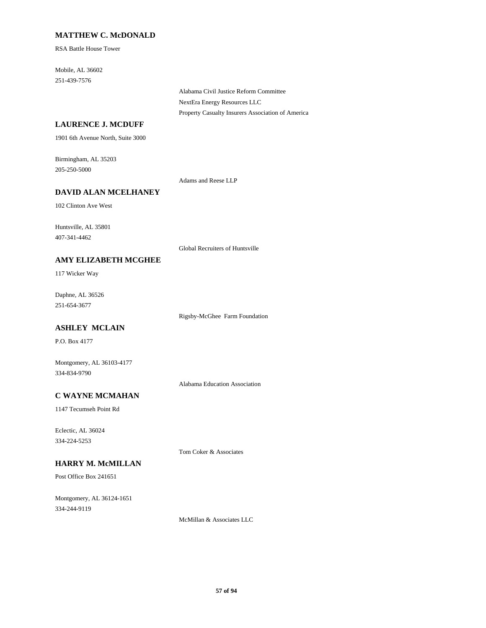## **MATTHEW C. McDONALD**

RSA Battle House Tower

251-439-7576 Mobile, AL 36602

> Alabama Civil Justice Reform Committee NextEra Energy Resources LLC Property Casualty Insurers Association of America

## **LAURENCE J. MCDUFF**

1901 6th Avenue North, Suite 3000

205-250-5000 Birmingham, AL 35203

Adams and Reese LLP

## **DAVID ALAN MCELHANEY**

102 Clinton Ave West

407-341-4462 Huntsville, AL 35801

Global Recruiters of Huntsville

#### **AMY ELIZABETH MCGHEE**

117 Wicker Way

251-654-3677 Daphne, AL 36526

Rigsby-McGhee Farm Foundation

## **ASHLEY MCLAIN**

P.O. Box 4177

334-834-9790 Montgomery, AL 36103-4177

Alabama Education Association

## **C WAYNE MCMAHAN**

1147 Tecumseh Point Rd

334-224-5253 Eclectic, AL 36024

Tom Coker & Associates

## **HARRY M. McMILLAN**

Post Office Box 241651

334-244-9119 Montgomery, AL 36124-1651

McMillan & Associates LLC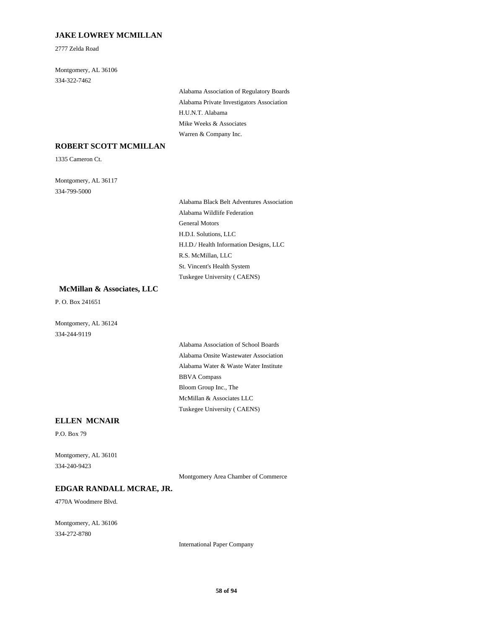## **JAKE LOWREY MCMILLAN**

2777 Zelda Road

334-322-7462 Montgomery, AL 36106

> Alabama Private Investigators Association Alabama Association of Regulatory Boards H.U.N.T. Alabama Warren & Company Inc. Mike Weeks & Associates

## **ROBERT SCOTT MCMILLAN**

1335 Cameron Ct.

334-799-5000 Montgomery, AL 36117

> General Motors H.D.I. Solutions, LLC Alabama Black Belt Adventures Association Alabama Wildlife Federation St. Vincent's Health System Tuskegee University ( CAENS) H.I.D./ Health Information Designs, LLC R.S. McMillan, LLC

#### **McMillan & Associates, LLC**

P. O. Box 241651

334-244-9119 Montgomery, AL 36124

> Alabama Water & Waste Water Institute Alabama Onsite Wastewater Association Alabama Association of School Boards BBVA Compass Tuskegee University ( CAENS) McMillan & Associates LLC Bloom Group Inc., The

#### **ELLEN MCNAIR**

P.O. Box 79

334-240-9423 Montgomery, AL 36101

Montgomery Area Chamber of Commerce

#### **EDGAR RANDALL MCRAE, JR.**

4770A Woodmere Blvd.

334-272-8780 Montgomery, AL 36106

International Paper Company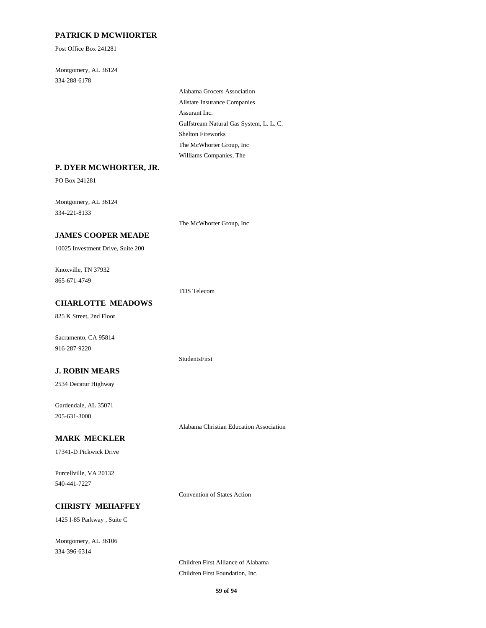## **PATRICK D MCWHORTER**

Post Office Box 241281

334-288-6178 Montgomery, AL 36124

> Assurant Inc. Allstate Insurance Companies Alabama Grocers Association Gulfstream Natural Gas System, L. L. C. Williams Companies, The The McWhorter Group, Inc Shelton Fireworks

#### **P. DYER MCWHORTER, JR.**

PO Box 241281

334-221-8133 Montgomery, AL 36124

The McWhorter Group, Inc

## **JAMES COOPER MEADE**

10025 Investment Drive, Suite 200

865-671-4749 Knoxville, TN 37932

TDS Telecom

StudentsFirst

## **CHARLOTTE MEADOWS**

825 K Street, 2nd Floor

916-287-9220 Sacramento, CA 95814

## **J. ROBIN MEARS**

2534 Decatur Highway

205-631-3000 Gardendale, AL 35071

Alabama Christian Education Association

## **MARK MECKLER**

17341-D Pickwick Drive

540-441-7227 Purcellville, VA 20132

Convention of States Action

## **CHRISTY MEHAFFEY**

1425 I-85 Parkway , Suite C

334-396-6314 Montgomery, AL 36106

> Children First Alliance of Alabama Children First Foundation, Inc.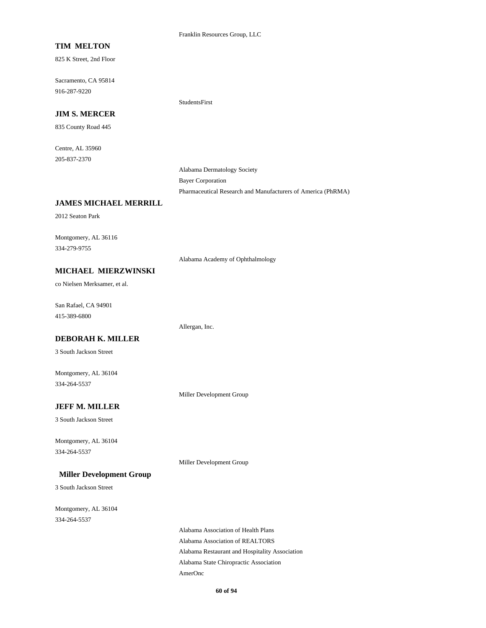#### Franklin Resources Group, LLC

#### **TIM MELTON**

825 K Street, 2nd Floor

916-287-9220 Sacramento, CA 95814

StudentsFirst

#### **JIM S. MERCER**

835 County Road 445

205-837-2370 Centre, AL 35960

> Alabama Dermatology Society Bayer Corporation Pharmaceutical Research and Manufacturers of America (PhRMA)

#### **JAMES MICHAEL MERRILL**

2012 Seaton Park

334-279-9755 Montgomery, AL 36116

Alabama Academy of Ophthalmology

#### **MICHAEL MIERZWINSKI**

co Nielsen Merksamer, et al.

415-389-6800 San Rafael, CA 94901

#### **DEBORAH K. MILLER**

3 South Jackson Street

334-264-5537 Montgomery, AL 36104

Miller Development Group

Allergan, Inc.

Miller Development Group

## **JEFF M. MILLER**

3 South Jackson Street

334-264-5537 Montgomery, AL 36104

#### **Miller Development Group**

3 South Jackson Street

334-264-5537 Montgomery, AL 36104

> Alabama Restaurant and Hospitality Association Alabama Association of REALTORS Alabama Association of Health Plans Alabama State Chiropractic Association AmerOnc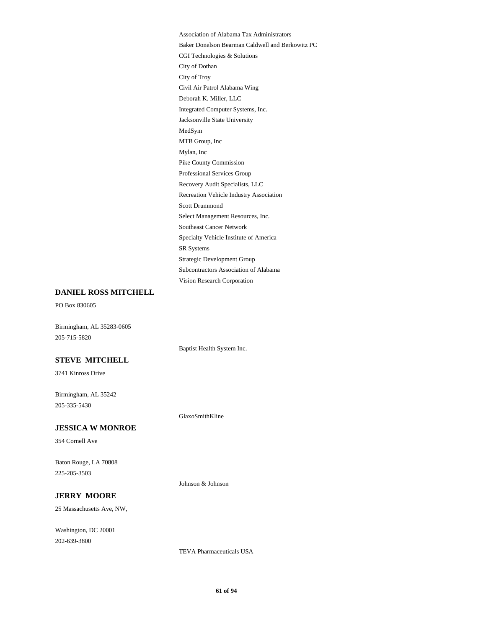Jacksonville State University Integrated Computer Systems, Inc. Deborah K. Miller, LLC Mylan, Inc MTB Group, Inc MedSym CGI Technologies & Solutions Baker Donelson Bearman Caldwell and Berkowitz PC Association of Alabama Tax Administrators Civil Air Patrol Alabama Wing City of Troy City of Dothan SR Systems Specialty Vehicle Institute of America Southeast Cancer Network Vision Research Corporation Subcontractors Association of Alabama Strategic Development Group Recovery Audit Specialists, LLC Professional Services Group Pike County Commission Select Management Resources, Inc. Scott Drummond Recreation Vehicle Industry Association

## **DANIEL ROSS MITCHELL**

PO Box 830605

Birmingham, AL 35283-0605 205-715-5820

Baptist Health System Inc.

## **STEVE MITCHELL**

3741 Kinross Drive

205-335-5430 Birmingham, AL 35242

#### **JESSICA W MONROE**

354 Cornell Ave

225-205-3503 Baton Rouge, LA 70808

Johnson & Johnson

GlaxoSmithKline

#### **JERRY MOORE**

25 Massachusetts Ave, NW,

202-639-3800 Washington, DC 20001

TEVA Pharmaceuticals USA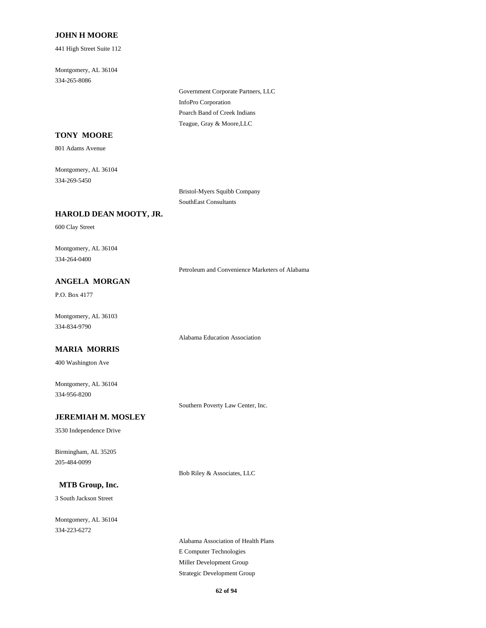#### **JOHN H MOORE**

441 High Street Suite 112

334-265-8086 Montgomery, AL 36104

> InfoPro Corporation Government Corporate Partners, LLC Teague, Gray & Moore,LLC Poarch Band of Creek Indians

## **TONY MOORE**

801 Adams Avenue

334-269-5450 Montgomery, AL 36104

> Bristol-Myers Squibb Company SouthEast Consultants

#### **HAROLD DEAN MOOTY, JR.**

600 Clay Street

334-264-0400 Montgomery, AL 36104

Petroleum and Convenience Marketers of Alabama

## **ANGELA MORGAN**

P.O. Box 4177

334-834-9790 Montgomery, AL 36103

Alabama Education Association

#### **MARIA MORRIS**

400 Washington Ave

334-956-8200 Montgomery, AL 36104

Southern Poverty Law Center, Inc.

#### **JEREMIAH M. MOSLEY**

3530 Independence Drive

205-484-0099 Birmingham, AL 35205

Bob Riley & Associates, LLC

## **MTB Group, Inc.**

3 South Jackson Street

334-223-6272 Montgomery, AL 36104

> E Computer Technologies Alabama Association of Health Plans Strategic Development Group Miller Development Group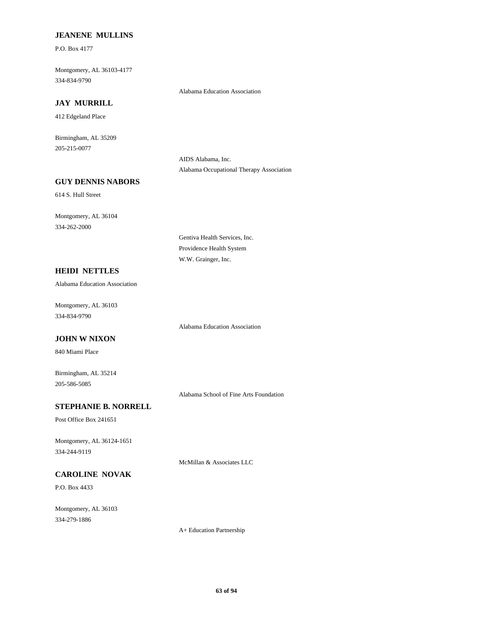#### **JEANENE MULLINS**

P.O. Box 4177

334-834-9790 Montgomery, AL 36103-4177

#### **JAY MURRILL**

412 Edgeland Place

205-215-0077 Birmingham, AL 35209

> AIDS Alabama, Inc. Alabama Occupational Therapy Association

Alabama Education Association

#### **GUY DENNIS NABORS**

614 S. Hull Street

334-262-2000 Montgomery, AL 36104

> Providence Health System W.W. Grainger, Inc.

Gentiva Health Services, Inc.

## **HEIDI NETTLES**

Alabama Education Association

334-834-9790 Montgomery, AL 36103

Alabama Education Association

## **JOHN W NIXON**

840 Miami Place

205-586-5085 Birmingham, AL 35214

Alabama School of Fine Arts Foundation

## **STEPHANIE B. NORRELL**

Post Office Box 241651

334-244-9119 Montgomery, AL 36124-1651

**CAROLINE NOVAK**

P.O. Box 4433

334-279-1886 Montgomery, AL 36103

A+ Education Partnership

McMillan & Associates LLC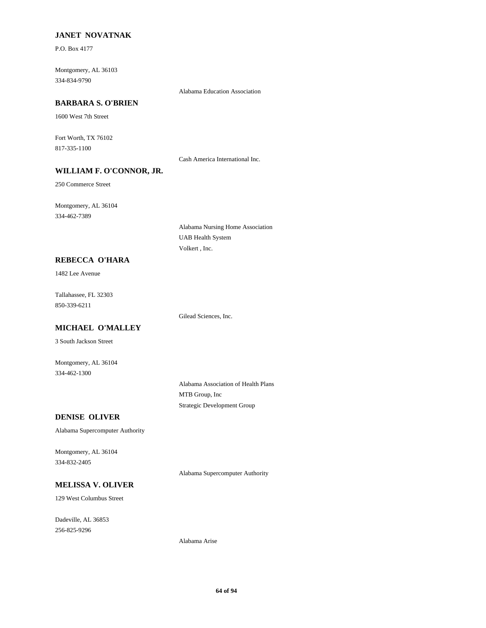## **JANET NOVATNAK**

P.O. Box 4177

334-834-9790 Montgomery, AL 36103

#### **BARBARA S. O'BRIEN**

1600 West 7th Street

817-335-1100 Fort Worth, TX 76102

Cash America International Inc.

Alabama Education Association

## **WILLIAM F. O'CONNOR, JR.**

250 Commerce Street

334-462-7389 Montgomery, AL 36104

> Alabama Nursing Home Association UAB Health System Volkert , Inc.

#### **REBECCA O'HARA**

1482 Lee Avenue

850-339-6211 Tallahassee, FL 32303

Gilead Sciences, Inc.

# **MICHAEL O'MALLEY**

3 South Jackson Street

334-462-1300 Montgomery, AL 36104

> Alabama Association of Health Plans MTB Group, Inc Strategic Development Group

#### **DENISE OLIVER**

Alabama Supercomputer Authority

334-832-2405 Montgomery, AL 36104

Alabama Supercomputer Authority

# **MELISSA V. OLIVER**

129 West Columbus Street

256-825-9296 Dadeville, AL 36853

Alabama Arise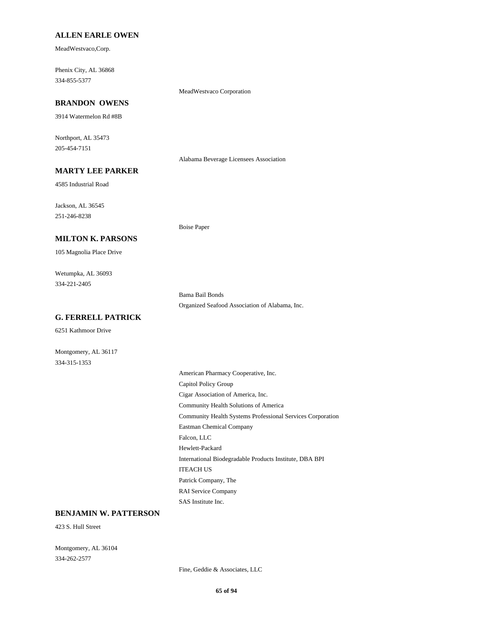#### **ALLEN EARLE OWEN**

MeadWestvaco,Corp.

334-855-5377 Phenix City, AL 36868

MeadWestvaco Corporation

Boise Paper

## **BRANDON OWENS**

3914 Watermelon Rd #8B

205-454-7151 Northport, AL 35473

Alabama Beverage Licensees Association

## **MARTY LEE PARKER**

4585 Industrial Road

251-246-8238 Jackson, AL 36545

#### **MILTON K. PARSONS**

105 Magnolia Place Drive

334-221-2405 Wetumpka, AL 36093

> Bama Bail Bonds Organized Seafood Association of Alabama, Inc.

## **G. FERRELL PATRICK**

6251 Kathmoor Drive

Montgomery, AL 36117 334-315-1353

> Community Health Solutions of America Community Health Systems Professional Services Corporation Eastman Chemical Company American Pharmacy Cooperative, Inc. Capitol Policy Group Cigar Association of America, Inc. Falcon, LLC Patrick Company, The RAI Service Company SAS Institute Inc. Hewlett-Packard International Biodegradable Products Institute, DBA BPI ITEACH US

#### **BENJAMIN W. PATTERSON**

423 S. Hull Street

334-262-2577 Montgomery, AL 36104

Fine, Geddie & Associates, LLC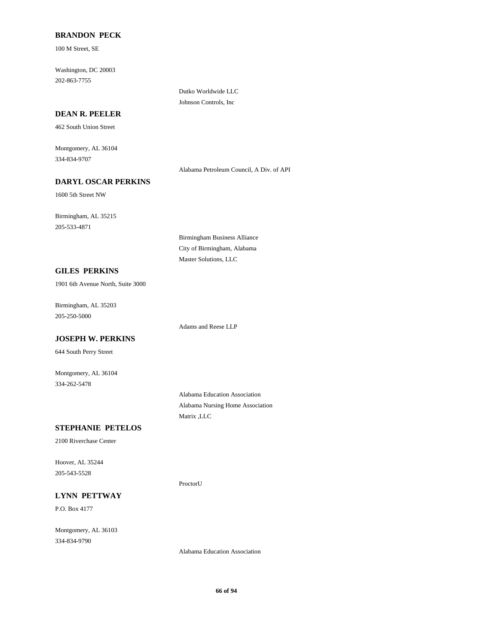#### **BRANDON PECK**

100 M Street, SE

202-863-7755 Washington, DC 20003

#### **DEAN R. PEELER**

462 South Union Street

334-834-9707 Montgomery, AL 36104

Alabama Petroleum Council, A Div. of API

## **DARYL OSCAR PERKINS**

1600 5th Street NW

205-533-4871 Birmingham, AL 35215

#### **GILES PERKINS**

1901 6th Avenue North, Suite 3000

205-250-5000 Birmingham, AL 35203

**JOSEPH W. PERKINS**

644 South Perry Street

334-262-5478 Montgomery, AL 36104

> Alabama Education Association Alabama Nursing Home Association Matrix ,LLC

Adams and Reese LLP

Birmingham Business Alliance City of Birmingham, Alabama Master Solutions, LLC

Dutko Worldwide LLC Johnson Controls, Inc

#### **STEPHANIE PETELOS**

2100 Riverchase Center

205-543-5528 Hoover, AL 35244

ProctorU

#### **LYNN PETTWAY**

P.O. Box 4177

334-834-9790 Montgomery, AL 36103

Alabama Education Association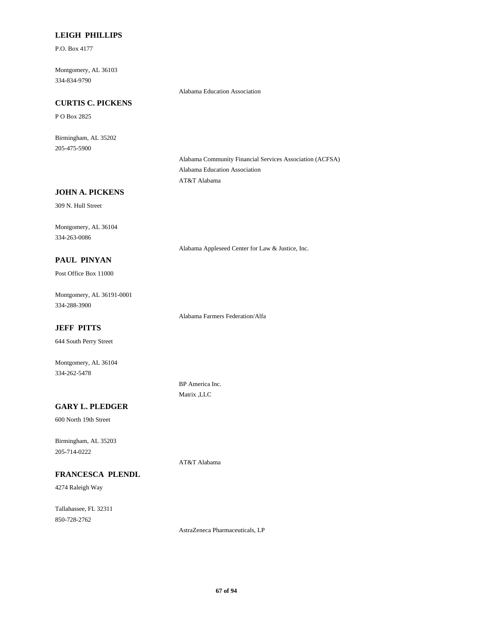#### **LEIGH PHILLIPS**

P.O. Box 4177

334-834-9790 Montgomery, AL 36103

Alabama Education Association

## **CURTIS C. PICKENS**

P O Box 2825

205-475-5900 Birmingham, AL 35202

> Alabama Community Financial Services Association (ACFSA) Alabama Education Association AT&T Alabama

Alabama Appleseed Center for Law & Justice, Inc.

## **JOHN A. PICKENS**

309 N. Hull Street

334-263-0086 Montgomery, AL 36104

#### **PAUL PINYAN**

Post Office Box 11000

334-288-3900 Montgomery, AL 36191-0001

Alabama Farmers Federation/Alfa

## **JEFF PITTS**

644 South Perry Street

334-262-5478 Montgomery, AL 36104

> BP America Inc. Matrix ,LLC

AT&T Alabama

## **GARY L. PLEDGER**

600 North 19th Street

205-714-0222 Birmingham, AL 35203

#### **FRANCESCA PLENDL**

4274 Raleigh Way

850-728-2762 Tallahassee, FL 32311

AstraZeneca Pharmaceuticals, LP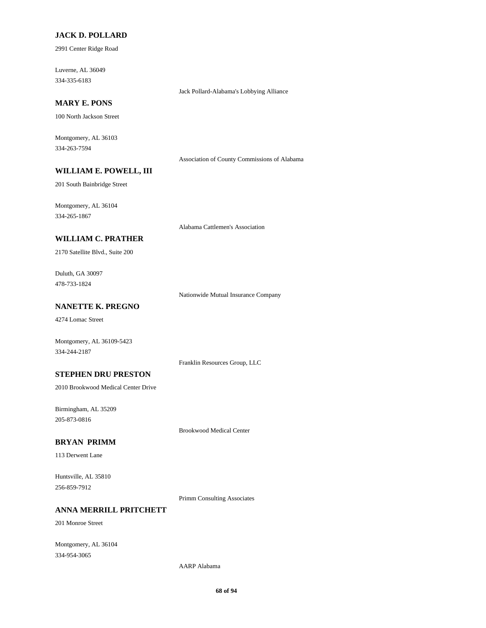#### **JACK D. POLLARD**

2991 Center Ridge Road

334-335-6183 Luverne, AL 36049

#### **MARY E. PONS**

100 North Jackson Street

334-263-7594 Montgomery, AL 36103

Association of County Commissions of Alabama

Jack Pollard-Alabama's Lobbying Alliance

## **WILLIAM E. POWELL, III**

201 South Bainbridge Street

334-265-1867 Montgomery, AL 36104

Alabama Cattlemen's Association

#### **WILLIAM C. PRATHER**

2170 Satellite Blvd., Suite 200

478-733-1824 Duluth, GA 30097

Nationwide Mutual Insurance Company

## **NANETTE K. PREGNO**

4274 Lomac Street

Montgomery, AL 36109-5423 334-244-2187

Franklin Resources Group, LLC

#### **STEPHEN DRU PRESTON**

2010 Brookwood Medical Center Drive

205-873-0816 Birmingham, AL 35209

Brookwood Medical Center

#### **BRYAN PRIMM**

113 Derwent Lane

256-859-7912 Huntsville, AL 35810

Primm Consulting Associates

## **ANNA MERRILL PRITCHETT**

201 Monroe Street

334-954-3065 Montgomery, AL 36104

AARP Alabama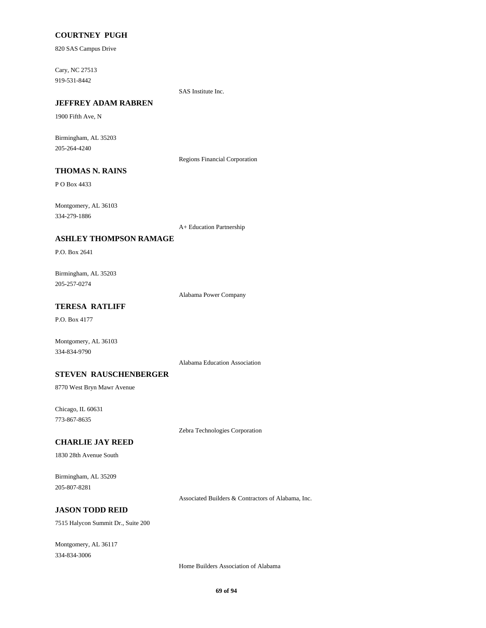#### **COURTNEY PUGH**

820 SAS Campus Drive

919-531-8442 Cary, NC 27513

SAS Institute Inc.

# **JEFFREY ADAM RABREN**

1900 Fifth Ave, N

205-264-4240 Birmingham, AL 35203

Regions Financial Corporation

## **THOMAS N. RAINS**

P O Box 4433

334-279-1886 Montgomery, AL 36103

A+ Education Partnership

#### **ASHLEY THOMPSON RAMAGE**

P.O. Box 2641

205-257-0274 Birmingham, AL 35203

Alabama Power Company

## **TERESA RATLIFF**

P.O. Box 4177

Montgomery, AL 36103 334-834-9790

Alabama Education Association

#### **STEVEN RAUSCHENBERGER**

8770 West Bryn Mawr Avenue

773-867-8635 Chicago, IL 60631

Zebra Technologies Corporation

#### **CHARLIE JAY REED**

1830 28th Avenue South

205-807-8281 Birmingham, AL 35209

Associated Builders & Contractors of Alabama, Inc.

## **JASON TODD REID**

7515 Halycon Summit Dr., Suite 200

334-834-3006 Montgomery, AL 36117

Home Builders Association of Alabama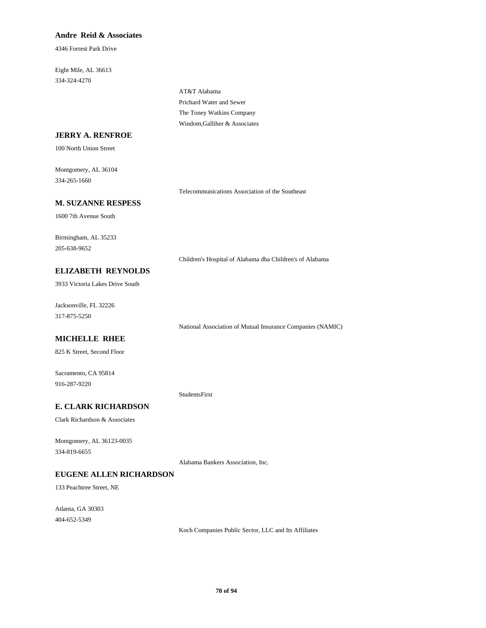#### **Andre Reid & Associates**

4346 Forrest Park Drive

334-324-4270 Eight Mile, AL 36613

> Prichard Water and Sewer AT&T Alabama Windom,Galliher & Associates The Toney Watkins Company

## **JERRY A. RENFROE**

100 North Union Street

334-265-1660 Montgomery, AL 36104

Telecommunications Association of the Southeast

#### **M. SUZANNE RESPESS**

1600 7th Avenue South

205-638-9652 Birmingham, AL 35233

Children's Hospital of Alabama dba Children's of Alabama

## **ELIZABETH REYNOLDS**

3933 Victoria Lakes Drive South

317-875-5250 Jacksonville, FL 32226

National Association of Mutual Insurance Companies (NAMIC)

#### **MICHELLE RHEE**

825 K Street, Second Floor

916-287-9220 Sacramento, CA 95814

StudentsFirst

## **E. CLARK RICHARDSON**

Clark Richardson & Associates

334-819-6655 Montgomery, AL 36123-0035

Alabama Bankers Association, Inc.

#### **EUGENE ALLEN RICHARDSON**

133 Peachtree Street, NE

404-652-5349 Atlanta, GA 30303

Koch Companies Public Sector, LLC and Its Affiliates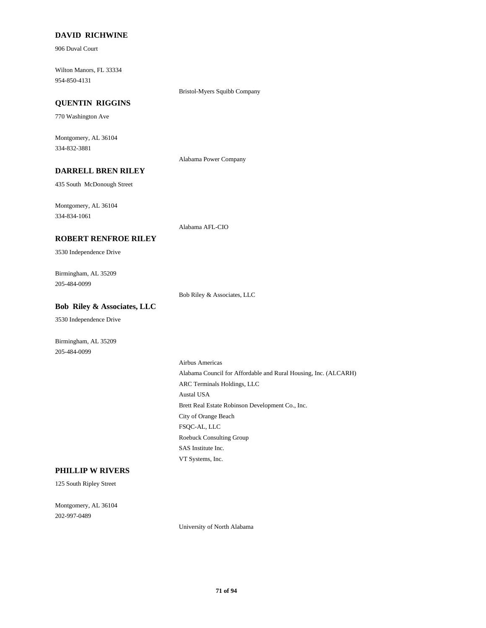#### **DAVID RICHWINE**

906 Duval Court

954-850-4131 Wilton Manors, FL 33334

Bristol-Myers Squibb Company

## **QUENTIN RIGGINS**

770 Washington Ave

334-832-3881 Montgomery, AL 36104

Alabama Power Company

## **DARRELL BREN RILEY**

435 South McDonough Street

334-834-1061 Montgomery, AL 36104

Alabama AFL-CIO

#### **ROBERT RENFROE RILEY**

3530 Independence Drive

205-484-0099 Birmingham, AL 35209

Bob Riley & Associates, LLC

## **Bob Riley & Associates, LLC**

3530 Independence Drive

Birmingham, AL 35209 205-484-0099

> Austal USA Brett Real Estate Robinson Development Co., Inc. ARC Terminals Holdings, LLC Airbus Americas Alabama Council for Affordable and Rural Housing, Inc. (ALCARH) SAS Institute Inc. VT Systems, Inc. Roebuck Consulting Group City of Orange Beach FSQC-AL, LLC

#### **PHILLIP W RIVERS**

125 South Ripley Street

202-997-0489 Montgomery, AL 36104

University of North Alabama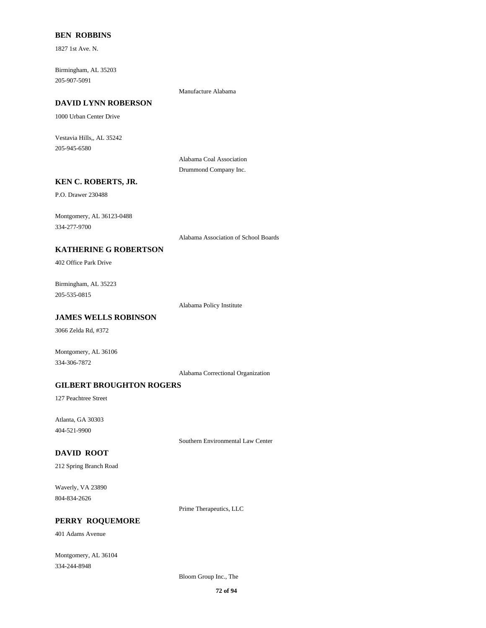#### **BEN ROBBINS**

1827 1st Ave. N.

205-907-5091 Birmingham, AL 35203

Manufacture Alabama

## **DAVID LYNN ROBERSON**

1000 Urban Center Drive

205-945-6580 Vestavia Hills,, AL 35242

> Alabama Coal Association Drummond Company Inc.

#### **KEN C. ROBERTS, JR.**

P.O. Drawer 230488

334-277-9700 Montgomery, AL 36123-0488

Alabama Association of School Boards

## **KATHERINE G ROBERTSON**

402 Office Park Drive

205-535-0815 Birmingham, AL 35223

Alabama Policy Institute

## **JAMES WELLS ROBINSON**

3066 Zelda Rd, #372

Montgomery, AL 36106 334-306-7872

Alabama Correctional Organization

#### **GILBERT BROUGHTON ROGERS**

127 Peachtree Street

404-521-9900 Atlanta, GA 30303

Southern Environmental Law Center

#### **DAVID ROOT**

212 Spring Branch Road

804-834-2626 Waverly, VA 23890

Prime Therapeutics, LLC

## **PERRY ROQUEMORE**

401 Adams Avenue

334-244-8948 Montgomery, AL 36104

Bloom Group Inc., The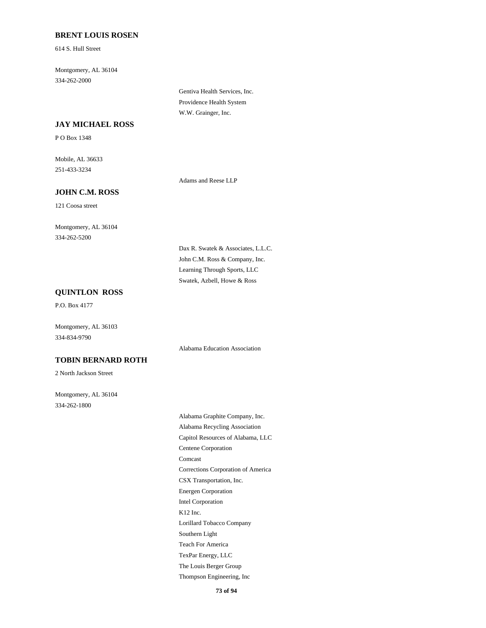#### **BRENT LOUIS ROSEN**

614 S. Hull Street

334-262-2000 Montgomery, AL 36104

> Gentiva Health Services, Inc. Providence Health System W.W. Grainger, Inc.

#### **JAY MICHAEL ROSS**

P O Box 1348

251-433-3234 Mobile, AL 36633

Adams and Reese LLP

### **JOHN C.M. ROSS**

121 Coosa street

334-262-5200 Montgomery, AL 36104

> John C.M. Ross & Company, Inc. Dax R. Swatek & Associates, L.L.C. Swatek, Azbell, Howe & Ross Learning Through Sports, LLC

Alabama Education Association

### **QUINTLON ROSS**

P.O. Box 4177

Montgomery, AL 36103 334-834-9790

#### **TOBIN BERNARD ROTH**

2 North Jackson Street

334-262-1800 Montgomery, AL 36104

> CSX Transportation, Inc. Corrections Corporation of America Intel Corporation Energen Corporation Comcast Alabama Recycling Association Alabama Graphite Company, Inc. Centene Corporation Capitol Resources of Alabama, LLC Thompson Engineering, Inc The Louis Berger Group TexPar Energy, LLC Lorillard Tobacco Company K12 Inc. Teach For America Southern Light

> > **73 of 94**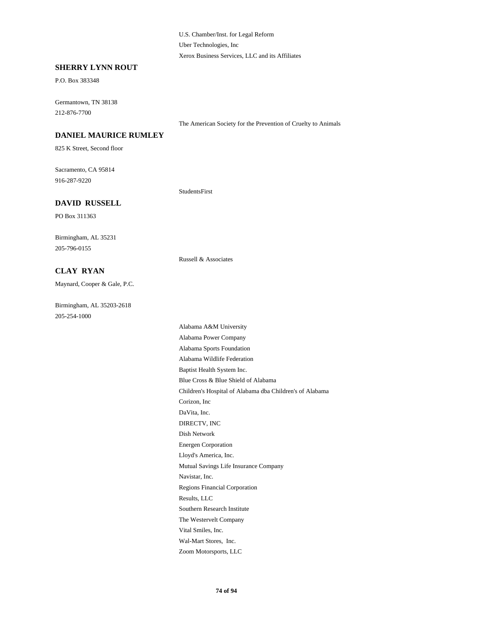U.S. Chamber/Inst. for Legal Reform Uber Technologies, Inc Xerox Business Services, LLC and its Affiliates

#### **SHERRY LYNN ROUT**

P.O. Box 383348

212-876-7700 Germantown, TN 38138

The American Society for the Prevention of Cruelty to Animals

### **DANIEL MAURICE RUMLEY**

825 K Street, Second floor

916-287-9220 Sacramento, CA 95814

StudentsFirst

Russell & Associates

#### **DAVID RUSSELL**

PO Box 311363

205-796-0155 Birmingham, AL 35231

**CLAY RYAN**

Maynard, Cooper & Gale, P.C.

205-254-1000 Birmingham, AL 35203-2618

Corizon, Inc Children's Hospital of Alabama dba Children's of Alabama DaVita, Inc. Dish Network DIRECTV, INC Alabama Sports Foundation Alabama Power Company Alabama Wildlife Federation Blue Cross & Blue Shield of Alabama Baptist Health System Inc. Energen Corporation The Westervelt Company Southern Research Institute Vital Smiles, Inc. Zoom Motorsports, LLC Wal-Mart Stores, Inc. Mutual Savings Life Insurance Company Lloyd's America, Inc. Navistar, Inc. Results, LLC Regions Financial Corporation Alabama A&M University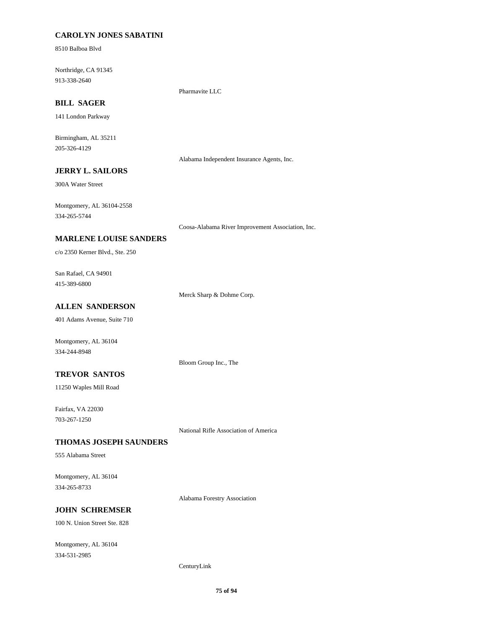### **CAROLYN JONES SABATINI**

8510 Balboa Blvd

913-338-2640 Northridge, CA 91345

Pharmavite LLC

### **BILL SAGER**

141 London Parkway

205-326-4129 Birmingham, AL 35211

Alabama Independent Insurance Agents, Inc.

### **JERRY L. SAILORS**

300A Water Street

334-265-5744 Montgomery, AL 36104-2558

Coosa-Alabama River Improvement Association, Inc.

#### **MARLENE LOUISE SANDERS**

c/o 2350 Kerner Blvd., Ste. 250

415-389-6800 San Rafael, CA 94901

Merck Sharp & Dohme Corp.

### **ALLEN SANDERSON**

401 Adams Avenue, Suite 710

Montgomery, AL 36104 334-244-8948

Bloom Group Inc., The

#### **TREVOR SANTOS**

11250 Waples Mill Road

703-267-1250 Fairfax, VA 22030

National Rifle Association of America

#### **THOMAS JOSEPH SAUNDERS**

555 Alabama Street

334-265-8733 Montgomery, AL 36104

Alabama Forestry Association

### **JOHN SCHREMSER**

100 N. Union Street Ste. 828

334-531-2985 Montgomery, AL 36104

#### CenturyLink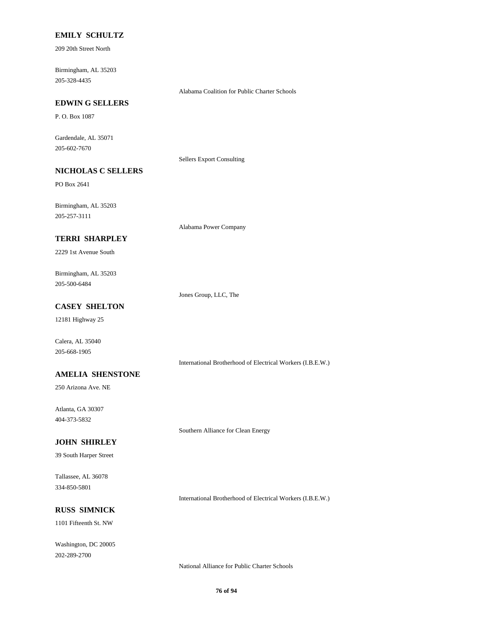#### **EMILY SCHULTZ**

209 20th Street North

205-328-4435 Birmingham, AL 35203

Alabama Coalition for Public Charter Schools

### **EDWIN G SELLERS**

P. O. Box 1087

205-602-7670 Gardendale, AL 35071

Sellers Export Consulting

### **NICHOLAS C SELLERS**

PO Box 2641

205-257-3111 Birmingham, AL 35203

Alabama Power Company

#### **TERRI SHARPLEY**

2229 1st Avenue South

205-500-6484 Birmingham, AL 35203

Jones Group, LLC, The

### **CASEY SHELTON**

12181 Highway 25

Calera, AL 35040 205-668-1905

International Brotherhood of Electrical Workers (I.B.E.W.)

#### **AMELIA SHENSTONE**

250 Arizona Ave. NE

404-373-5832 Atlanta, GA 30307

Southern Alliance for Clean Energy

#### **JOHN SHIRLEY**

39 South Harper Street

334-850-5801 Tallassee, AL 36078

International Brotherhood of Electrical Workers (I.B.E.W.)

# **RUSS SIMNICK**

1101 Fifteenth St. NW

202-289-2700 Washington, DC 20005

National Alliance for Public Charter Schools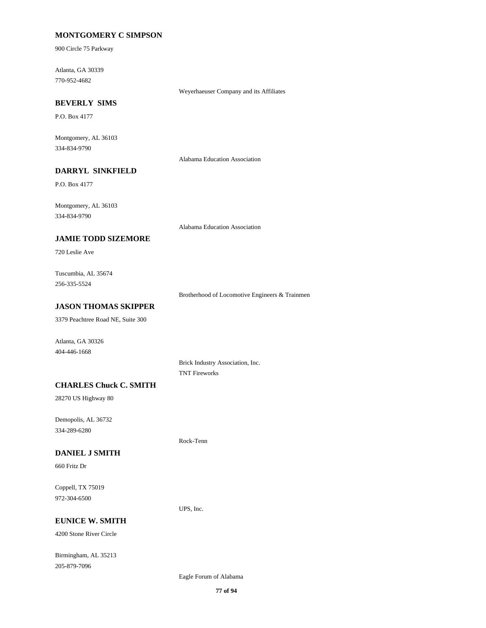### **MONTGOMERY C SIMPSON**

900 Circle 75 Parkway

770-952-4682 Atlanta, GA 30339

Weyerhaeuser Company and its Affiliates

### **BEVERLY SIMS**

P.O. Box 4177

334-834-9790 Montgomery, AL 36103

Alabama Education Association

### **DARRYL SINKFIELD**

P.O. Box 4177

334-834-9790 Montgomery, AL 36103

Alabama Education Association

#### **JAMIE TODD SIZEMORE**

720 Leslie Ave

256-335-5524 Tuscumbia, AL 35674

Brotherhood of Locomotive Engineers & Trainmen

### **JASON THOMAS SKIPPER**

3379 Peachtree Road NE, Suite 300

404-446-1668 Atlanta, GA 30326

> Brick Industry Association, Inc. TNT Fireworks

### **CHARLES Chuck C. SMITH**

28270 US Highway 80

334-289-6280 Demopolis, AL 36732

#### **DANIEL J SMITH**

660 Fritz Dr

972-304-6500 Coppell, TX 75019

#### **EUNICE W. SMITH**

4200 Stone River Circle

205-879-7096 Birmingham, AL 35213

Eagle Forum of Alabama

UPS, Inc.

Rock-Tenn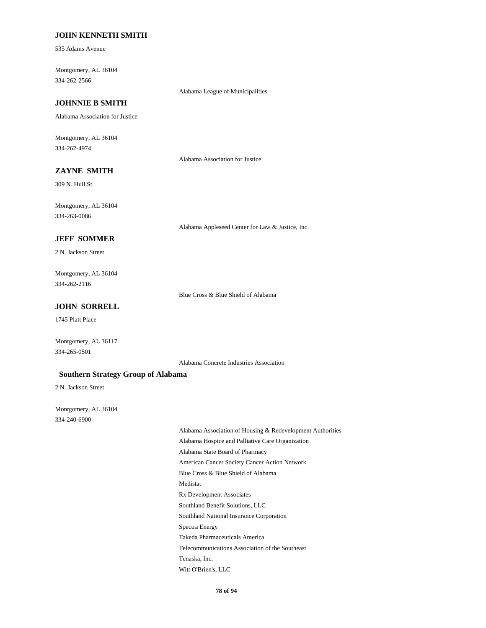#### **JOHN KENNETH SMITH**

535 Adams Avenue

334-262-2566 Montgomery, AL 36104

Alabama League of Municipalities

### **JOHNNIE B SMITH**

Alabama Association for Justice

334-262-4974 Montgomery, AL 36104

Alabama Association for Justice

### **ZAYNE SMITH**

309 N. Hull St.

334-263-0086 Montgomery, AL 36104

Alabama Appleseed Center for Law & Justice, Inc.

#### **JEFF SOMMER**

2 N. Jackson Street

334-262-2116 Montgomery, AL 36104

Blue Cross & Blue Shield of Alabama

### **JOHN SORRELL**

1745 Platt Place

334-265-0501 Montgomery, AL 36117

Alabama Concrete Industries Association

#### **Southern Strategy Group of Alabama**

2 N. Jackson Street

334-240-6900 Montgomery, AL 36104

> Blue Cross & Blue Shield of Alabama Medistat Rx Development Associates American Cancer Society Cancer Action Network Alabama Association of Housing & Redevelopment Authorities Alabama Hospice and Palliative Care Organization Alabama State Board of Pharmacy Telecommunications Association of the Southeast Tenaska, Inc. Witt O'Brien's, LLC Takeda Pharmaceuticals America Southland Benefit Solutions, LLC Southland National Insurance Corporation Spectra Energy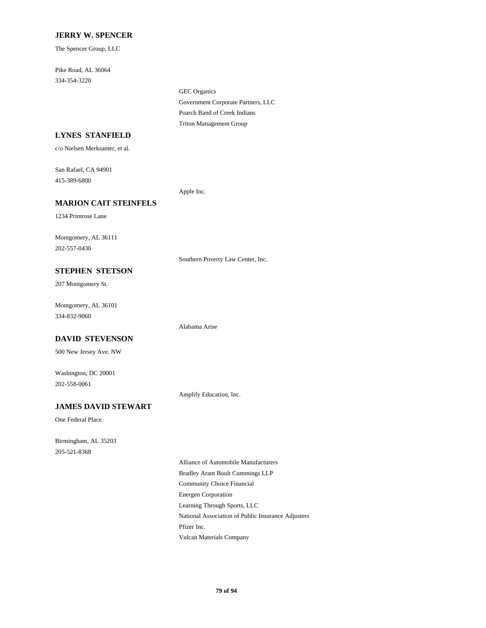#### **JERRY W. SPENCER**

The Spencer Group, LLC

334-354-3220 Pike Road, AL 36064

> Government Corporate Partners, LLC GEC Organics Triton Management Group Poarch Band of Creek Indians

### **LYNES STANFIELD**

c/o Nielsen Merksamer, et al.

415-389-6800 San Rafael, CA 94901

Apple Inc.

### **MARION CAIT STEINFELS**

1234 Primrose Lane

202-557-0430 Montgomery, AL 36111

Southern Poverty Law Center, Inc.

### **STEPHEN STETSON**

207 Montgomery St.

334-832-9060 Montgomery, AL 36101

#### **DAVID STEVENSON**

500 New Jersey Ave. NW

202-558-0061 Washington, DC 20001

Amplify Education, Inc.

Alabama Arise

#### **JAMES DAVID STEWART**

One Federal Place

205-521-8368 Birmingham, AL 35203

> Community Choice Financial Energen Corporation Alliance of Automobile Manufacturers Bradley Arant Boult Cummings LLP Pfizer Inc. Vulcan Materials Company Learning Through Sports, LLC National Association of Public Insurance Adjusters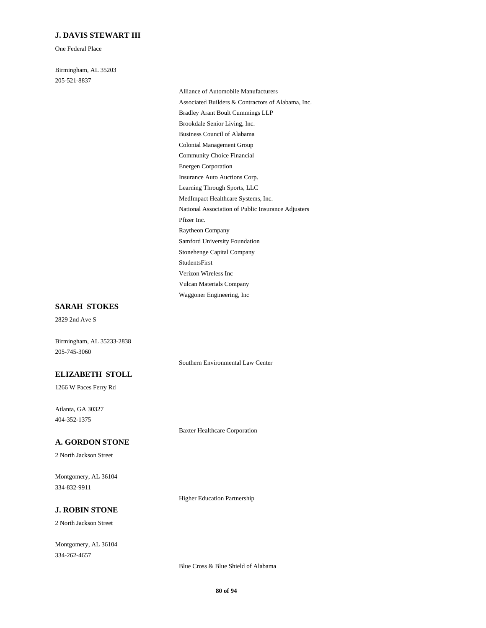#### **J. DAVIS STEWART III**

One Federal Place

205-521-8837 Birmingham, AL 35203

> Community Choice Financial Colonial Management Group Energen Corporation Learning Through Sports, LLC Insurance Auto Auctions Corp. Associated Builders & Contractors of Alabama, Inc. Alliance of Automobile Manufacturers Bradley Arant Boult Cummings LLP Business Council of Alabama Brookdale Senior Living, Inc. StudentsFirst Stonehenge Capital Company Verizon Wireless Inc Waggoner Engineering, Inc Vulcan Materials Company National Association of Public Insurance Adjusters MedImpact Healthcare Systems, Inc. Pfizer Inc. Samford University Foundation Raytheon Company

### **SARAH STOKES**

2829 2nd Ave S

Birmingham, AL 35233-2838 205-745-3060

#### **ELIZABETH STOLL**

1266 W Paces Ferry Rd

404-352-1375 Atlanta, GA 30327

Baxter Healthcare Corporation

Southern Environmental Law Center

Higher Education Partnership

#### **A. GORDON STONE**

2 North Jackson Street

334-832-9911 Montgomery, AL 36104

### **J. ROBIN STONE**

2 North Jackson Street

334-262-4657 Montgomery, AL 36104

Blue Cross & Blue Shield of Alabama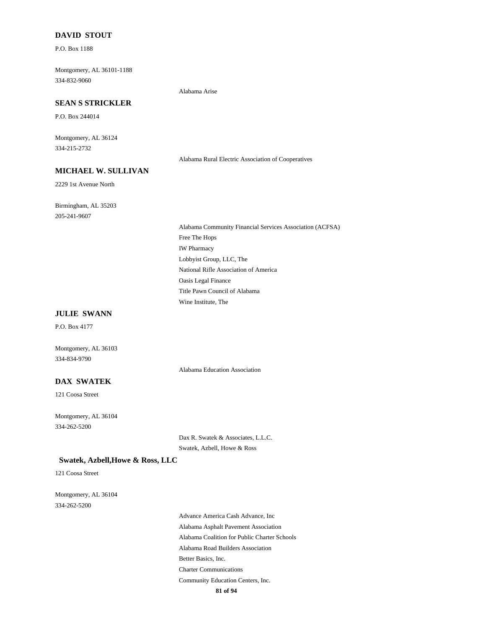#### **DAVID STOUT**

P.O. Box 1188

334-832-9060 Montgomery, AL 36101-1188

Alabama Arise

### **SEAN S STRICKLER**

P.O. Box 244014

334-215-2732 Montgomery, AL 36124

Alabama Rural Electric Association of Cooperatives

### **MICHAEL W. SULLIVAN**

2229 1st Avenue North

205-241-9607 Birmingham, AL 35203

> IW Pharmacy Lobbyist Group, LLC, The Alabama Community Financial Services Association (ACFSA) Free The Hops Title Pawn Council of Alabama Wine Institute, The National Rifle Association of America Oasis Legal Finance

#### **JULIE SWANN**

P.O. Box 4177

334-834-9790 Montgomery, AL 36103

Alabama Education Association

### **DAX SWATEK**

121 Coosa Street

334-262-5200 Montgomery, AL 36104

> Dax R. Swatek & Associates, L.L.C. Swatek, Azbell, Howe & Ross

#### **Swatek, Azbell,Howe & Ross, LLC**

121 Coosa Street

334-262-5200 Montgomery, AL 36104

> Alabama Coalition for Public Charter Schools Alabama Road Builders Association Advance America Cash Advance, Inc Alabama Asphalt Pavement Association Better Basics, Inc. Charter Communications Community Education Centers, Inc.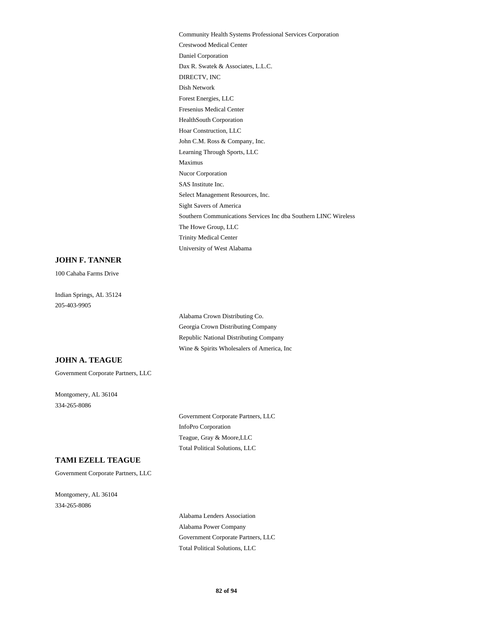Forest Energies, LLC Dish Network Fresenius Medical Center Hoar Construction, LLC HealthSouth Corporation Crestwood Medical Center Community Health Systems Professional Services Corporation Daniel Corporation DIRECTV, INC Dax R. Swatek & Associates, L.L.C. John C.M. Ross & Company, Inc. Southern Communications Services Inc dba Southern LINC Wireless Sight Savers of America The Howe Group, LLC University of West Alabama Trinity Medical Center Maximus Learning Through Sports, LLC Nucor Corporation Select Management Resources, Inc. SAS Institute Inc.

#### **JOHN F. TANNER**

100 Cahaba Farms Drive

205-403-9905 Indian Springs, AL 35124

> Georgia Crown Distributing Company Republic National Distributing Company Wine & Spirits Wholesalers of America, Inc Alabama Crown Distributing Co.

#### **JOHN A. TEAGUE**

Government Corporate Partners, LLC

334-265-8086 Montgomery, AL 36104

> InfoPro Corporation Government Corporate Partners, LLC Total Political Solutions, LLC Teague, Gray & Moore,LLC

### **TAMI EZELL TEAGUE**

Government Corporate Partners, LLC

334-265-8086 Montgomery, AL 36104

> Alabama Power Company Alabama Lenders Association Total Political Solutions, LLC Government Corporate Partners, LLC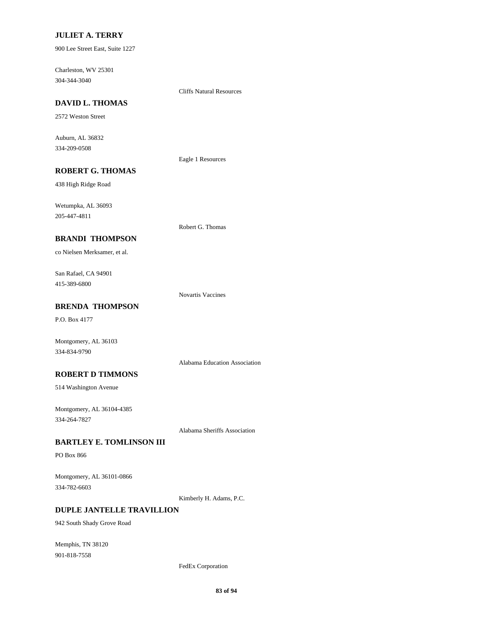#### **JULIET A. TERRY**

900 Lee Street East, Suite 1227

304-344-3040 Charleston, WV 25301

Cliffs Natural Resources

# **DAVID L. THOMAS**

2572 Weston Street

334-209-0508 Auburn, AL 36832

Eagle 1 Resources

### **ROBERT G. THOMAS**

438 High Ridge Road

205-447-4811 Wetumpka, AL 36093

Robert G. Thomas

#### **BRANDI THOMPSON**

co Nielsen Merksamer, et al.

415-389-6800 San Rafael, CA 94901

Novartis Vaccines

### **BRENDA THOMPSON**

P.O. Box 4177

Montgomery, AL 36103 334-834-9790

#### **ROBERT D TIMMONS**

514 Washington Avenue

334-264-7827 Montgomery, AL 36104-4385

Alabama Sheriffs Association

Alabama Education Association

#### **BARTLEY E. TOMLINSON III**

PO Box 866

334-782-6603 Montgomery, AL 36101-0866

Kimberly H. Adams, P.C.

### **DUPLE JANTELLE TRAVILLION**

942 South Shady Grove Road

901-818-7558 Memphis, TN 38120

FedEx Corporation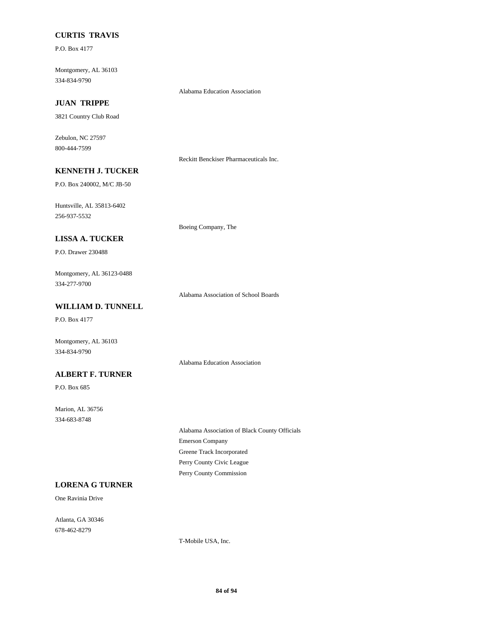### **CURTIS TRAVIS**

P.O. Box 4177

334-834-9790 Montgomery, AL 36103

Alabama Education Association

### **JUAN TRIPPE**

3821 Country Club Road

800-444-7599 Zebulon, NC 27597

Reckitt Benckiser Pharmaceuticals Inc.

### **KENNETH J. TUCKER**

P.O. Box 240002, M/C JB-50

256-937-5532 Huntsville, AL 35813-6402

Boeing Company, The

### **LISSA A. TUCKER**

P.O. Drawer 230488

334-277-9700 Montgomery, AL 36123-0488

Alabama Association of School Boards

### **WILLIAM D. TUNNELL**

P.O. Box 4177

Montgomery, AL 36103 334-834-9790

Alabama Education Association

### **ALBERT F. TURNER**

P.O. Box 685

334-683-8748 Marion, AL 36756

> Emerson Company Alabama Association of Black County Officials Greene Track Incorporated Perry County Commission Perry County Civic League

### **LORENA G TURNER**

One Ravinia Drive

678-462-8279 Atlanta, GA 30346

T-Mobile USA, Inc.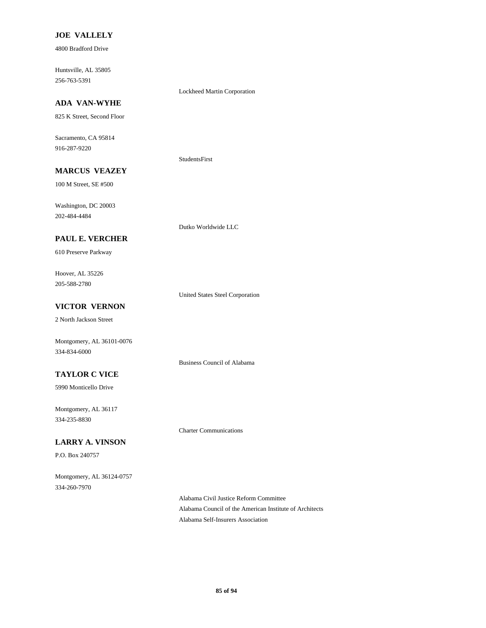#### **JOE VALLELY**

4800 Bradford Drive

256-763-5391 Huntsville, AL 35805

### **ADA VAN-WYHE**

825 K Street, Second Floor

916-287-9220 Sacramento, CA 95814

#### StudentsFirst

Lockheed Martin Corporation

**MARCUS VEAZEY**

100 M Street, SE #500

202-484-4484 Washington, DC 20003

#### **PAUL E. VERCHER**

610 Preserve Parkway

205-588-2780 Hoover, AL 35226

United States Steel Corporation

Dutko Worldwide LLC

Business Council of Alabama

### **VICTOR VERNON**

2 North Jackson Street

334-834-6000 Montgomery, AL 36101-0076

#### **TAYLOR C VICE**

5990 Monticello Drive

334-235-8830 Montgomery, AL 36117

#### **LARRY A. VINSON**

P.O. Box 240757

334-260-7970 Montgomery, AL 36124-0757 Charter Communications

Alabama Civil Justice Reform Committee Alabama Council of the American Institute of Architects Alabama Self-Insurers Association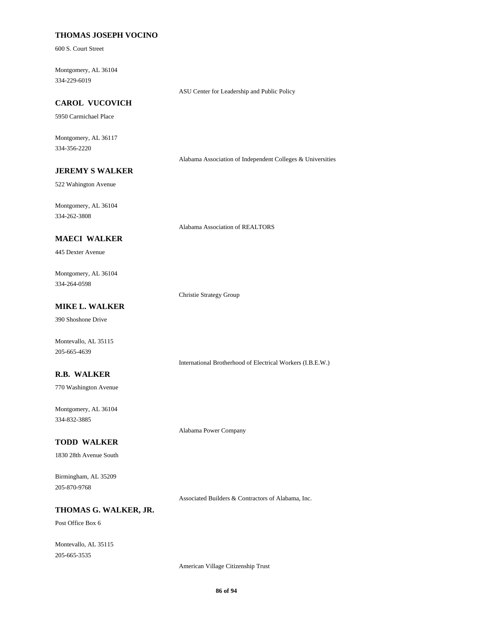#### **THOMAS JOSEPH VOCINO**

600 S. Court Street

334-229-6019 Montgomery, AL 36104

ASU Center for Leadership and Public Policy

### **CAROL VUCOVICH**

5950 Carmichael Place

334-356-2220 Montgomery, AL 36117

Alabama Association of Independent Colleges & Universities

### **JEREMY S WALKER**

522 Wahington Avenue

334-262-3808 Montgomery, AL 36104

Alabama Association of REALTORS

#### **MAECI WALKER**

445 Dexter Avenue

334-264-0598 Montgomery, AL 36104

Christie Strategy Group

Alabama Power Company

### **MIKE L. WALKER**

390 Shoshone Drive

Montevallo, AL 35115 205-665-4639

International Brotherhood of Electrical Workers (I.B.E.W.)

#### **R.B. WALKER**

770 Washington Avenue

334-832-3885 Montgomery, AL 36104

#### **TODD WALKER**

1830 28th Avenue South

205-870-9768 Birmingham, AL 35209

Associated Builders & Contractors of Alabama, Inc.

### **THOMAS G. WALKER, JR.**

Post Office Box 6

205-665-3535 Montevallo, AL 35115

American Village Citizenship Trust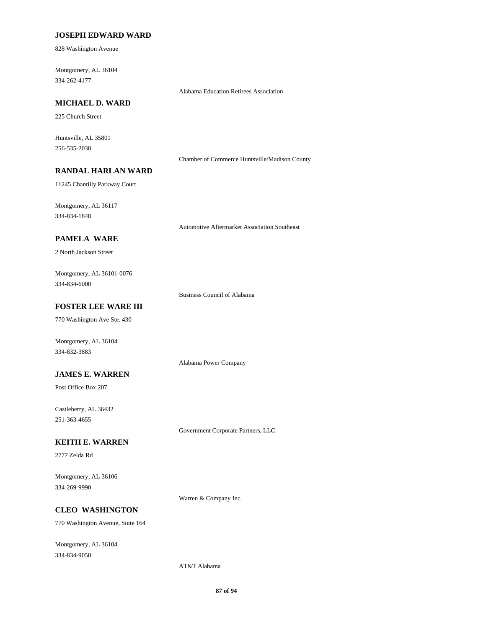#### **JOSEPH EDWARD WARD**

828 Washington Avenue

334-262-4177 Montgomery, AL 36104

Alabama Education Retirees Association

### **MICHAEL D. WARD**

225 Church Street

256-535-2030 Huntsville, AL 35801

Chamber of Commerce Huntsville/Madison County

### **RANDAL HARLAN WARD**

11245 Chantilly Parkway Court

334-834-1848 Montgomery, AL 36117

Automotive Aftermarket Association Southeast

#### **PAMELA WARE**

2 North Jackson Street

334-834-6000 Montgomery, AL 36101-0076

Business Council of Alabama

Alabama Power Company

### **FOSTER LEE WARE III**

770 Washington Ave Ste. 430

Montgomery, AL 36104 334-832-3883

#### **JAMES E. WARREN**

Post Office Box 207

251-363-4655 Castleberry, AL 36432

Government Corporate Partners, LLC

#### **KEITH E. WARREN**

2777 Zelda Rd

334-269-9990 Montgomery, AL 36106

Warren & Company Inc.

### **CLEO WASHINGTON**

770 Washington Avenue, Suite 164

334-834-9050 Montgomery, AL 36104

AT&T Alabama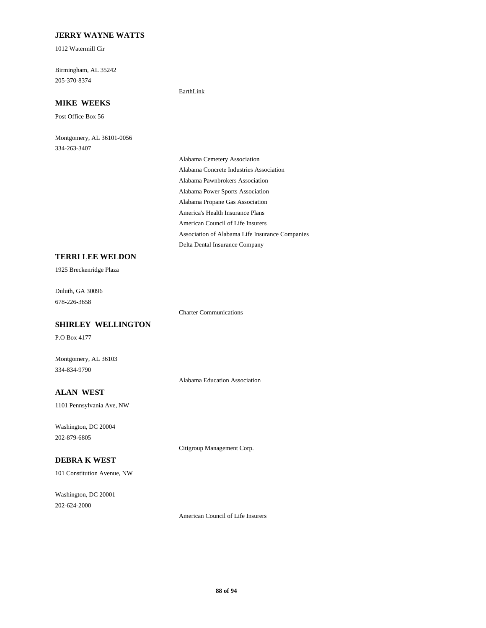### **JERRY WAYNE WATTS**

1012 Watermill Cir

205-370-8374 Birmingham, AL 35242

#### **MIKE WEEKS**

Post Office Box 56

334-263-3407 Montgomery, AL 36101-0056

Alabama Pawnbrokers Association Alabama Power Sports Association Alabama Cemetery Association Alabama Concrete Industries Association Alabama Propane Gas Association Association of Alabama Life Insurance Companies Delta Dental Insurance Company America's Health Insurance Plans American Council of Life Insurers

#### **TERRI LEE WELDON**

1925 Breckenridge Plaza

678-226-3658 Duluth, GA 30096

#### **SHIRLEY WELLINGTON**

P.O Box 4177

Montgomery, AL 36103 334-834-9790

### **ALAN WEST**

1101 Pennsylvania Ave, NW

202-879-6805 Washington, DC 20004

Citigroup Management Corp.

Alabama Education Association

Charter Communications

EarthLink

### **DEBRA K WEST**

101 Constitution Avenue, NW

202-624-2000 Washington, DC 20001

American Council of Life Insurers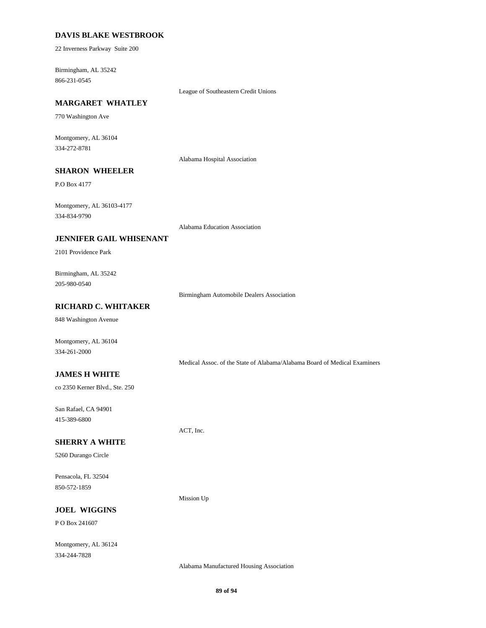#### **DAVIS BLAKE WESTBROOK**

22 Inverness Parkway Suite 200

866-231-0545 Birmingham, AL 35242

League of Southeastern Credit Unions

### **MARGARET WHATLEY**

770 Washington Ave

334-272-8781 Montgomery, AL 36104

Alabama Hospital Association

### **SHARON WHEELER**

P.O Box 4177

334-834-9790 Montgomery, AL 36103-4177

Alabama Education Association

#### **JENNIFER GAIL WHISENANT**

2101 Providence Park

205-980-0540 Birmingham, AL 35242

Birmingham Automobile Dealers Association

### **RICHARD C. WHITAKER**

848 Washington Avenue

Montgomery, AL 36104 334-261-2000

Medical Assoc. of the State of Alabama/Alabama Board of Medical Examiners

#### **JAMES H WHITE**

co 2350 Kerner Blvd., Ste. 250

415-389-6800 San Rafael, CA 94901

#### **SHERRY A WHITE**

5260 Durango Circle

850-572-1859 Pensacola, FL 32504

Mission Up

ACT, Inc.

### **JOEL WIGGINS**

P O Box 241607

334-244-7828 Montgomery, AL 36124

Alabama Manufactured Housing Association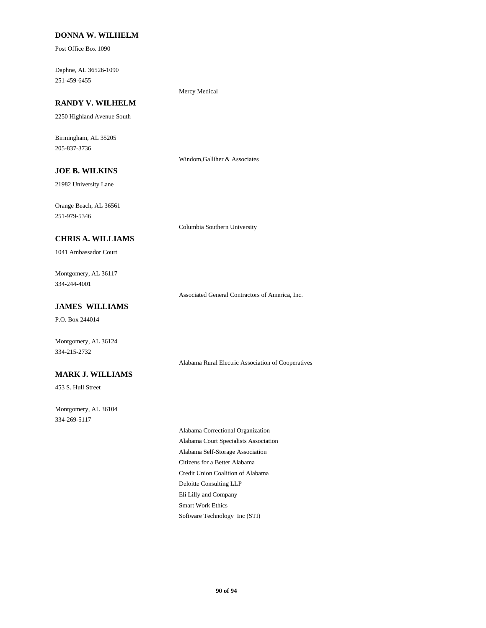#### **DONNA W. WILHELM**

Post Office Box 1090

251-459-6455 Daphne, AL 36526-1090

### **RANDY V. WILHELM**

2250 Highland Avenue South

205-837-3736 Birmingham, AL 35205

Windom,Galliher & Associates

Mercy Medical

### **JOE B. WILKINS**

21982 University Lane

251-979-5346 Orange Beach, AL 36561

Columbia Southern University

#### **CHRIS A. WILLIAMS**

1041 Ambassador Court

334-244-4001 Montgomery, AL 36117

Associated General Contractors of America, Inc.

### **JAMES WILLIAMS**

P.O. Box 244014

334-215-2732 Montgomery, AL 36124

#### Alabama Rural Electric Association of Cooperatives

**MARK J. WILLIAMS**

453 S. Hull Street

334-269-5117 Montgomery, AL 36104

> Alabama Self-Storage Association Citizens for a Better Alabama Alabama Correctional Organization Alabama Court Specialists Association Credit Union Coalition of Alabama Smart Work Ethics Software Technology Inc (STI) Deloitte Consulting LLP Eli Lilly and Company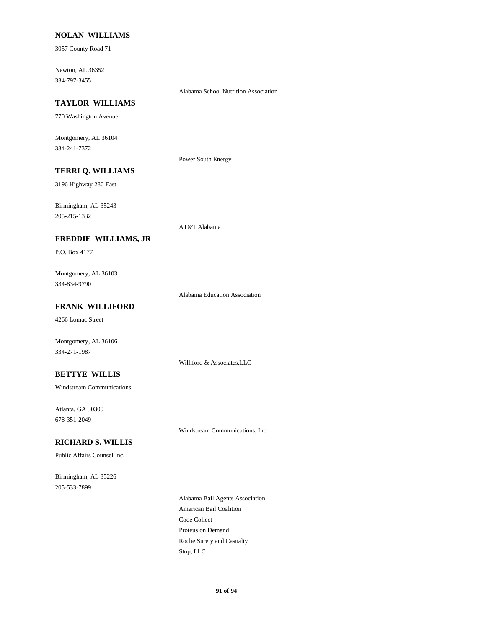#### **NOLAN WILLIAMS**

3057 County Road 71

334-797-3455 Newton, AL 36352

Alabama School Nutrition Association

### **TAYLOR WILLIAMS**

770 Washington Avenue

334-241-7372 Montgomery, AL 36104

Power South Energy

### **TERRI Q. WILLIAMS**

**FREDDIE WILLIAMS, JR**

3196 Highway 280 East

205-215-1332 Birmingham, AL 35243

# AT&T Alabama

P.O. Box 4177

334-834-9790 Montgomery, AL 36103

Alabama Education Association

Williford & Associates,LLC

### **FRANK WILLIFORD**

4266 Lomac Street

Montgomery, AL 36106 334-271-1987

#### **BETTYE WILLIS**

Windstream Communications

678-351-2049 Atlanta, GA 30309

Windstream Communications, Inc

#### **RICHARD S. WILLIS**

Public Affairs Counsel Inc.

205-533-7899 Birmingham, AL 35226

> Code Collect American Bail Coalition Alabama Bail Agents Association Stop, LLC Roche Surety and Casualty Proteus on Demand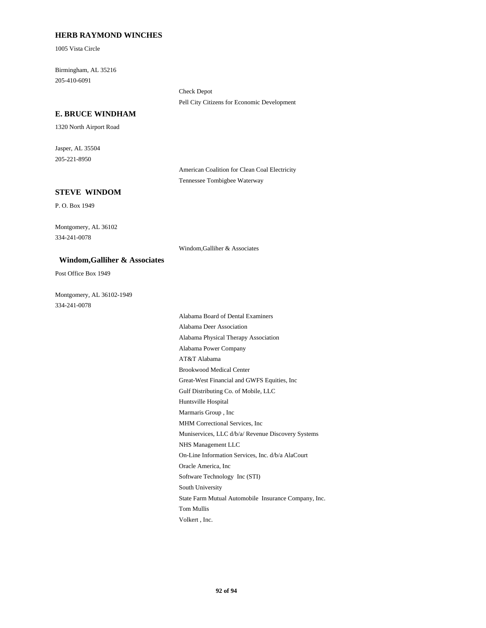#### **HERB RAYMOND WINCHES**

1005 Vista Circle

205-410-6091 Birmingham, AL 35216

> Check Depot Pell City Citizens for Economic Development

#### **E. BRUCE WINDHAM**

1320 North Airport Road

205-221-8950 Jasper, AL 35504

> American Coalition for Clean Coal Electricity Tennessee Tombigbee Waterway

### **STEVE WINDOM**

P. O. Box 1949

334-241-0078 Montgomery, AL 36102

Windom,Galliher & Associates

#### **Windom,Galliher & Associates**

Post Office Box 1949

334-241-0078 Montgomery, AL 36102-1949

Gulf Distributing Co. of Mobile, LLC Great-West Financial and GWFS Equities, Inc Marmaris Group , Inc Huntsville Hospital Brookwood Medical Center Alabama Physical Therapy Association Alabama Deer Association AT&T Alabama Alabama Power Company MHM Correctional Services, Inc State Farm Mutual Automobile Insurance Company, Inc. South University Volkert , Inc. Tom Mullis Software Technology Inc (STI) NHS Management LLC Muniservices, LLC d/b/a/ Revenue Discovery Systems Oracle America, Inc On-Line Information Services, Inc. d/b/a AlaCourt Alabama Board of Dental Examiners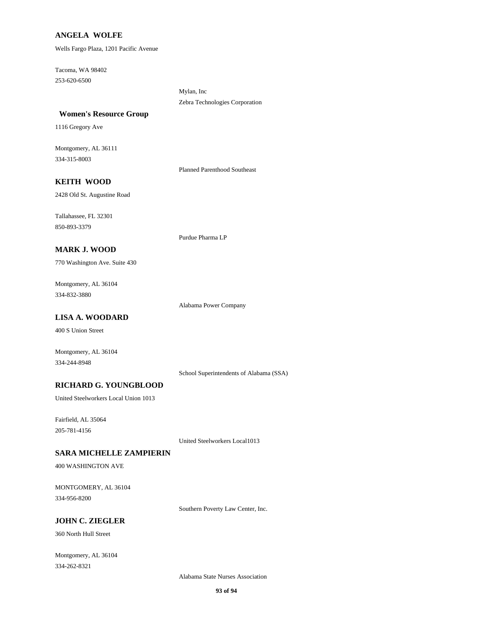#### **ANGELA WOLFE**

Wells Fargo Plaza, 1201 Pacific Avenue

Tacoma, WA 98402 253-620-6500

> Zebra Technologies Corporation Mylan, Inc

#### **Women's Resource Group**

1116 Gregory Ave

Montgomery, AL 36111 334-315-8003

Planned Parenthood Southeast

### **KEITH WOOD**

2428 Old St. Augustine Road

850-893-3379 Tallahassee, FL 32301

Purdue Pharma LP

### **MARK J. WOOD**

770 Washington Ave. Suite 430

334-832-3880 Montgomery, AL 36104

Alabama Power Company

### **LISA A. WOODARD**

400 S Union Street

334-244-8948 Montgomery, AL 36104

School Superintendents of Alabama (SSA)

#### **RICHARD G. YOUNGBLOOD**

United Steelworkers Local Union 1013

Fairfield, AL 35064 205-781-4156

United Steelworkers Local1013

#### **SARA MICHELLE ZAMPIERIN**

400 WASHINGTON AVE

334-956-8200 MONTGOMERY, AL 36104

Southern Poverty Law Center, Inc.

### **JOHN C. ZIEGLER**

360 North Hull Street

Montgomery, AL 36104 334-262-8321

Alabama State Nurses Association